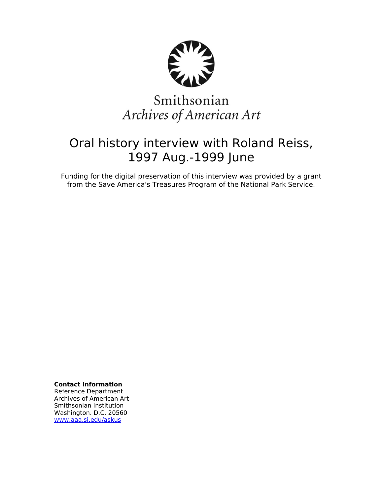

# Smithsonian Archives of American Art

## Oral history interview with Roland Reiss, 1997 Aug.-1999 June

Funding for the digital preservation of this interview was provided by a grant from the Save America's Treasures Program of the National Park Service.

**Contact Information**

Reference Department Archives of American Art Smithsonian Institution Washington. D.C. 20560 [www.aaa.si.edu/askus](http://www.aaa.si.edu/askus)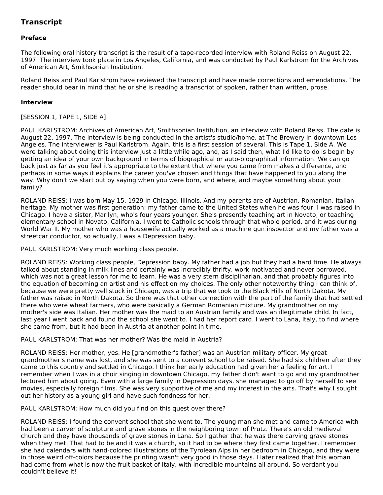## **Transcript**

## **Preface**

The following oral history transcript is the result of a tape-recorded interview with Roland Reiss on August 22, 1997. The interview took place in Los Angeles, California, and was conducted by Paul Karlstrom for the Archives of American Art, Smithsonian Institution.

Roland Reiss and Paul Karlstrom have reviewed the transcript and have made corrections and emendations. The reader should bear in mind that he or she is reading a transcript of spoken, rather than written, prose.

## **Interview**

## [SESSION 1, TAPE 1, SIDE A]

PAUL KARLSTROM: Archives of American Art, Smithsonian Institution, an interview with Roland Reiss. The date is August 22, 1997. The interview is being conducted in the artist's studio/home, at The Brewery in downtown Los Angeles. The interviewer is Paul Karlstrom. Again, this is a first session of several. This is Tape 1, Side A. We were talking about doing this interview just a little while ago, and, as I said then, what I'd like to do is begin by getting an idea of your own background in terms of biographical or auto-biographical information. We can go back just as far as you feel it's appropriate to the extent that where you came from makes a difference, and perhaps in some ways it explains the career you've chosen and things that have happened to you along the way. Why don't we start out by saying when you were born, and where, and maybe something about your family?

ROLAND REISS: I was born May 15, 1929 in Chicago, Illinois. And my parents are of Austrian, Romanian, Italian heritage. My mother was first generation; my father came to the United States when he was four. I was raised in Chicago. I have a sister, Marilyn, who's four years younger. She's presently teaching art in Novato, or teaching elementary school in Novato, California. I went to Catholic schools through that whole period, and it was during World War II. My mother who was a housewife actually worked as a machine gun inspector and my father was a streetcar conductor, so actually, I was a Depression baby.

PAUL KARLSTROM: Very much working class people.

ROLAND REISS: Working class people, Depression baby. My father had a job but they had a hard time. He always talked about standing in milk lines and certainly was incredibly thrifty, work-motivated and never borrowed, which was not a great lesson for me to learn. He was a very stern disciplinarian, and that probably figures into the equation of becoming an artist and his effect on my choices. The only other noteworthy thing I can think of, because we were pretty well stuck in Chicago, was a trip that we took to the Black Hills of North Dakota. My father was raised in North Dakota. So there was that other connection with the part of the family that had settled there who were wheat farmers, who were basically a German Romanian mixture. My grandmother on my mother's side was Italian. Her mother was the maid to an Austrian family and was an illegitimate child. In fact, last year I went back and found the school she went to. I had her report card. I went to Lana, Italy, to find where she came from, but it had been in Austria at another point in time.

### PAUL KARLSTROM: That was her mother? Was the maid in Austria?

ROLAND REISS: Her mother, yes. He [grandmother's father] was an Austrian military officer. My great grandmother's name was lost, and she was sent to a convent school to be raised. She had six children after they came to this country and settled in Chicago. I think her early education had given her a feeling for art. I remember when I was in a choir singing in downtown Chicago, my father didn't want to go and my grandmother lectured him about going. Even with a large family in Depression days, she managed to go off by herself to see movies, especially foreign films. She was very supportive of me and my interest in the arts. That's why I sought out her history as a young girl and have such fondness for her.

PAUL KARLSTROM: How much did you find on this quest over there?

ROLAND REISS: I found the convent school that she went to. The young man she met and came to America with had been a carver of sculpture and grave stones in the neighboring town of Prutz. There's an old medieval church and they have thousands of grave stones in Lana. So I gather that he was there carving grave stones when they met. That had to be and it was a church, so it had to be where they first came together. I remember she had calendars with hand-colored illustrations of the Tyrolean Alps in her bedroom in Chicago, and they were in those weird off-colors because the printing wasn't very good in those days. I later realized that this woman had come from what is now the fruit basket of Italy, with incredible mountains all around. So verdant you couldn't believe it!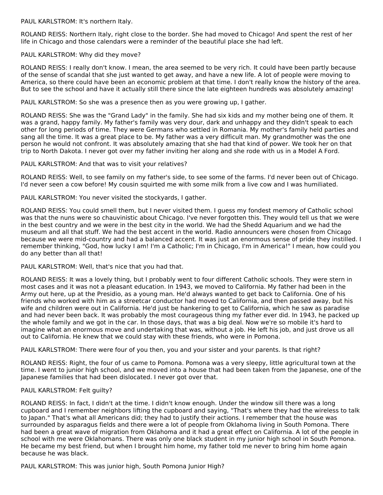PAUL KARLSTROM: It's northern Italy.

ROLAND REISS: Northern Italy, right close to the border. She had moved to Chicago! And spent the rest of her life in Chicago and those calendars were a reminder of the beautiful place she had left.

## PAUL KARLSTROM: Why did they move?

ROLAND REISS: I really don't know. I mean, the area seemed to be very rich. It could have been partly because of the sense of scandal that she just wanted to get away, and have a new life. A lot of people were moving to America, so there could have been an economic problem at that time. I don't really know the history of the area. But to see the school and have it actually still there since the late eighteen hundreds was absolutely amazing!

PAUL KARLSTROM: So she was a presence then as you were growing up, I gather.

ROLAND REISS: She was the "Grand Lady" in the family. She had six kids and my mother being one of them. It was a grand, happy family. My father's family was very dour, dark and unhappy and they didn't speak to each other for long periods of time. They were Germans who settled in Romania. My mother's family held parties and sang all the time. It was a great place to be. My father was a very difficult man. My grandmother was the one person he would not confront. It was absolutely amazing that she had that kind of power. We took her on that trip to North Dakota. I never got over my father inviting her along and she rode with us in a Model A Ford.

PAUL KARLSTROM: And that was to visit your relatives?

ROLAND REISS: Well, to see family on my father's side, to see some of the farms. I'd never been out of Chicago. I'd never seen a cow before! My cousin squirted me with some milk from a live cow and I was humiliated.

PAUL KARLSTROM: You never visited the stockyards, I gather.

ROLAND REISS: You could smell them, but I never visited them. I guess my fondest memory of Catholic school was that the nuns were so chauvinistic about Chicago. I've never forgotten this. They would tell us that we were in the best country and we were in the best city in the world. We had the Shedd Aquarium and we had the museum and all that stuff. We had the best accent in the world. Radio announcers were chosen from Chicago because we were mid-country and had a balanced accent. It was just an enormous sense of pride they instilled. I remember thinking, "God, how lucky I am! I'm a Catholic; I'm in Chicago, I'm in America!" I mean, how could you do any better than all that!

PAUL KARLSTROM: Well, that's nice that you had that.

ROLAND REISS: It was a lovely thing, but I probably went to four different Catholic schools. They were stern in most cases and it was not a pleasant education. In 1943, we moved to California. My father had been in the Army out here, up at the Presidio, as a young man. He'd always wanted to get back to California. One of his friends who worked with him as a streetcar conductor had moved to California, and then passed away, but his wife and children were out in California. He'd just be hankering to get to California, which he saw as paradise and had never been back. It was probably the most courageous thing my father ever did. In 1943, he packed up the whole family and we got in the car. In those days, that was a big deal. Now we're so mobile it's hard to imagine what an enormous move and undertaking that was, without a job. He left his job, and just drove us all out to California. He knew that we could stay with these friends, who were in Pomona.

PAUL KARLSTROM: There were four of you then, you and your sister and your parents. Is that right?

ROLAND REISS: Right, the four of us came to Pomona. Pomona was a very sleepy, little agricultural town at the time. I went to junior high school, and we moved into a house that had been taken from the Japanese, one of the Japanese families that had been dislocated. I never got over that.

### PAUL KARLSTROM: Felt guilty?

ROLAND REISS: In fact, I didn't at the time. I didn't know enough. Under the window sill there was a long cupboard and I remember neighbors lifting the cupboard and saying, "That's where they had the wireless to talk to Japan." That's what all Americans did; they had to justify their actions. I remember that the house was surrounded by asparagus fields and there were a lot of people from Oklahoma living in South Pomona. There had been a great wave of migration from Oklahoma and it had a great effect on California. A lot of the people in school with me were Oklahomans. There was only one black student in my junior high school in South Pomona. He became my best friend, but when I brought him home, my father told me never to bring him home again because he was black.

PAUL KARLSTROM: This was junior high, South Pomona Junior High?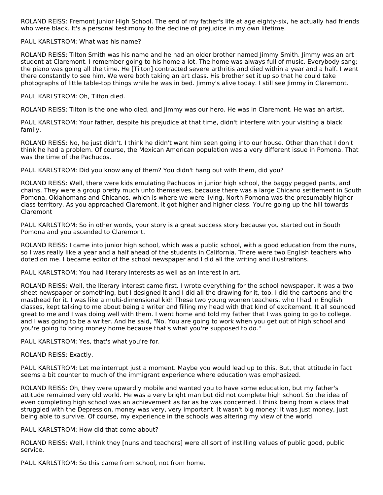ROLAND REISS: Fremont Junior High School. The end of my father's life at age eighty-six, he actually had friends who were black. It's a personal testimony to the decline of prejudice in my own lifetime.

## PAUL KARLSTROM: What was his name?

ROLAND REISS: Tilton Smith was his name and he had an older brother named Jimmy Smith. Jimmy was an art student at Claremont. I remember going to his home a lot. The home was always full of music. Everybody sang; the piano was going all the time. He [Tilton] contracted severe arthritis and died within a year and a half. I went there constantly to see him. We were both taking an art class. His brother set it up so that he could take photographs of little table-top things while he was in bed. Jimmy's alive today. I still see Jimmy in Claremont.

## PAUL KARLSTROM: Oh, Tilton died.

ROLAND REISS: Tilton is the one who died, and Jimmy was our hero. He was in Claremont. He was an artist.

PAUL KARLSTROM: Your father, despite his prejudice at that time, didn't interfere with your visiting a black family.

ROLAND REISS: No, he just didn't. I think he didn't want him seen going into our house. Other than that I don't think he had a problem. Of course, the Mexican American population was a very different issue in Pomona. That was the time of the Pachucos.

PAUL KARLSTROM: Did you know any of them? You didn't hang out with them, did you?

ROLAND REISS: Well, there were kids emulating Pachucos in junior high school, the baggy pegged pants, and chains. They were a group pretty much unto themselves, because there was a large Chicano settlement in South Pomona, Oklahomans and Chicanos, which is where we were living. North Pomona was the presumably higher class territory. As you approached Claremont, it got higher and higher class. You're going up the hill towards Claremont

PAUL KARLSTROM: So in other words, your story is a great success story because you started out in South Pomona and you ascended to Claremont.

ROLAND REISS: I came into junior high school, which was a public school, with a good education from the nuns, so I was really like a year and a half ahead of the students in California. There were two English teachers who doted on me. I became editor of the school newspaper and I did all the writing and illustrations.

PAUL KARLSTROM: You had literary interests as well as an interest in art.

ROLAND REISS: Well, the literary interest came first. I wrote everything for the school newspaper. It was a two sheet newspaper or something, but I designed it and I did all the drawing for it, too. I did the cartoons and the masthead for it. I was like a multi-dimensional kid! These two young women teachers, who I had in English classes, kept talking to me about being a writer and filling my head with that kind of excitement. It all sounded great to me and I was doing well with them. I went home and told my father that I was going to go to college, and I was going to be a writer. And he said, "No. You are going to work when you get out of high school and you're going to bring money home because that's what you're supposed to do."

PAUL KARLSTROM: Yes, that's what you're for.

## ROLAND REISS: Exactly.

PAUL KARLSTROM: Let me interrupt just a moment. Maybe you would lead up to this. But, that attitude in fact seems a bit counter to much of the immigrant experience where education was emphasized.

ROLAND REISS: Oh, they were upwardly mobile and wanted you to have some education, but my father's attitude remained very old world. He was a very bright man but did not complete high school. So the idea of even completing high school was an achievement as far as he was concerned. I think being from a class that struggled with the Depression, money was very, very important. It wasn't big money; it was just money, just being able to survive. Of course, my experience in the schools was altering my view of the world.

### PAUL KARLSTROM: How did that come about?

ROLAND REISS: Well, I think they [nuns and teachers] were all sort of instilling values of public good, public service.

PAUL KARLSTROM: So this came from school, not from home.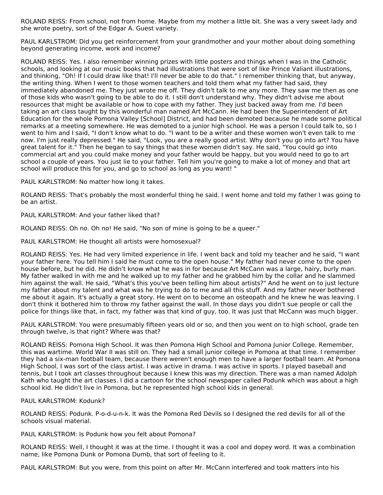ROLAND REISS: From school, not from home. Maybe from my mother a little bit. She was a very sweet lady and she wrote poetry, sort of the Edgar A. Guest variety.

PAUL KARLSTROM: Did you get reinforcement from your grandmother and your mother about doing something beyond generating income, work and income?

ROLAND REISS: Yes. I also remember winning prizes with little posters and things when I was in the Catholic schools, and looking at our music books that had illustrations that were sort of like Prince Valiant illustrations, and thinking, "Oh! If I could draw like that! I'll never be able to do that." I remember thinking that, but anyway, the writing thing. When I went to those women teachers and told them what my father had said, they immediately abandoned me. They just wrote me off. They didn't talk to me any more. They saw me then as one of those kids who wasn't going to be able to do it. I still don't understand why. They didn't advise me about resources that might be available or how to cope with my father. They just backed away from me. I'd been taking an art class taught by this wonderful man named Art McCann. He had been the Superintendent of Art Education for the whole Pomona Valley [School] District, and had been demoted because he made some political remarks at a meeting somewhere. He was demoted to a junior high school. He was a person I could talk to, so I went to him and I said, "I don't know what to do. "I want to be a writer and these women won't even talk to me now. I'm just really depressed." He said, "Look, you are a really good artist. Why don't you go into art? You have great talent for it." Then he began to say things that these women didn't say. He said, "You could go into commercial art and you could make money and your father would be happy, but you would need to go to art school a couple of years. You just lie to your father. Tell him you're going to make a lot of money and that art school will produce this for you, and go to school as long as you want! "

PAUL KARLSTROM: No matter how long it takes.

ROLAND REISS: That's probably the most wonderful thing he said. I went home and told my father I was going to be an artist.

PAUL KARLSTROM: And your father liked that?

ROLAND REISS: Oh no. Oh no! He said, "No son of mine is going to be a queer."

PAUL KARLSTROM: He thought all artists were homosexual?

ROLAND REISS: Yes. He had very limited experience in life. I went back and told my teacher and he said, "I want your father here. You tell him I said he must come to the open house." My father had never come to the open house before, but he did. He didn't know what he was in for because Art McCann was a large, hairy, burly man. My father walked in with me and he walked up to my father and he grabbed him by the collar and he slammed him against the wall. He said, "What's this you've been telling him about artists?" And he went on to just lecture my father about my talent and what was he trying to do to me and all this stuff. And my father never bothered me about it again. It's actually a great story. He went on to become an osteopath and he knew he was leaving. I don't think it bothered him to throw my father against the wall. In those days you didn't sue people or call the police for things like that, in fact, my father was that kind of guy, too. It was just that McCann was much bigger.

PAUL KARLSTROM: You were presumably fifteen years old or so, and then you went on to high school, grade ten through twelve, is that right? Where was that?

ROLAND REISS: Pomona High School. It was then Pomona High School and Pomona Junior College. Remember, this was wartime. World War II was still on. They had a small junior college in Pomona at that time. I remember they had a six-man football team, because there weren't enough men to have a larger football team. At Pomona High School, I was sort of the class artist. I was active in drama. I was active in sports. I played baseball and tennis, but I took art classes throughout because I knew this was my direction. There was a man named Adolph Kath who taught the art classes. I did a cartoon for the school newspaper called Podunk which was about a high school kid. He didn't live in Pomona, but he represented high school kids in general.

### PAUL KARLSTROM: Kodunk?

ROLAND REISS: Podunk. P-o-d-u-n-k. It was the Pomona Red Devils so I designed the red devils for all of the schools visual material.

PAUL KARLSTROM: Is Podunk how you felt about Pomona?

ROLAND REISS: Well, I thought it was at the time. I thought it was a cool and dopey word. It was a combination name, like Pomona Dunk or Pomona Dumb, that sort of feeling to it.

PAUL KARLSTROM: But you were, from this point on after Mr. McCann interfered and took matters into his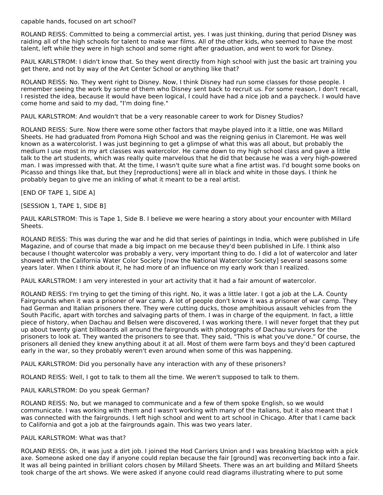capable hands, focused on art school?

ROLAND REISS: Committed to being a commercial artist, yes. I was just thinking, during that period Disney was raiding all of the high schools for talent to make war films. All of the other kids, who seemed to have the most talent, left while they were in high school and some right after graduation, and went to work for Disney.

PAUL KARLSTROM: I didn't know that. So they went directly from high school with just the basic art training you get there, and not by way of the Art Center School or anything like that?

ROLAND REISS: No. They went right to Disney. Now, I think Disney had run some classes for those people. I remember seeing the work by some of them who Disney sent back to recruit us. For some reason, I don't recall, I resisted the idea, because it would have been logical, I could have had a nice job and a paycheck. I would have come home and said to my dad, "I'm doing fine."

PAUL KARLSTROM: And wouldn't that be a very reasonable career to work for Disney Studios?

ROLAND REISS: Sure. Now there were some other factors that maybe played into it a little, one was Millard Sheets. He had graduated from Pomona High School and was the reigning genius in Claremont. He was well known as a watercolorist. I was just beginning to get a glimpse of what this was all about, but probably the medium I use most in my art classes was watercolor. He came down to my high school class and gave a little talk to the art students, which was really quite marvelous that he did that because he was a very high-powered man. I was impressed with that. At the time, I wasn't quite sure what a fine artist was. I'd bought some books on Picasso and things like that, but they [reproductions] were all in black and white in those days. I think he probably began to give me an inkling of what it meant to be a real artist.

[END OF TAPE 1, SIDE A]

[SESSION 1, TAPE 1, SIDE B]

PAUL KARLSTROM: This is Tape 1, Side B. I believe we were hearing a story about your encounter with Millard Sheets.

ROLAND REISS: This was during the war and he did that series of paintings in India, which were published in Life Magazine, and of course that made a big impact on me because they'd been published in Life. I think also because I thought watercolor was probably a very, very important thing to do. I did a lot of watercolor and later showed with the California Water Color Society [now the National Watercolor Society] several seasons some years later. When I think about it, he had more of an influence on my early work than I realized.

PAUL KARLSTROM: I am very interested in your art activity that it had a fair amount of watercolor.

ROLAND REISS: I'm trying to get the timing of this right. No, it was a little later. I got a job at the L.A. County Fairgrounds when it was a prisoner of war camp. A lot of people don't know it was a prisoner of war camp. They had German and Italian prisoners there. They were cutting ducks, those amphibious assault vehicles from the South Pacific, apart with torches and salvaging parts of them. I was in charge of the equipment. In fact, a little piece of history, when Dachau and Belsen were discovered, I was working there. I will never forget that they put up about twenty giant billboards all around the fairgrounds with photographs of Dachau survivors for the prisoners to look at. They wanted the prisoners to see that. They said, "This is what you've done." Of course, the prisoners all denied they knew anything about it at all. Most of them were farm boys and they'd been captured early in the war, so they probably weren't even around when some of this was happening.

PAUL KARLSTROM: Did you personally have any interaction with any of these prisoners?

ROLAND REISS: Well, I got to talk to them all the time. We weren't supposed to talk to them.

### PAUL KARLSTROM: Do you speak German?

ROLAND REISS: No, but we managed to communicate and a few of them spoke English, so we would communicate. I was working with them and I wasn't working with many of the Italians, but it also meant that I was connected with the fairgrounds. I left high school and went to art school in Chicago. After that I came back to California and got a job at the fairgrounds again. This was two years later.

### PAUL KARLSTROM: What was that?

ROLAND REISS: Oh, it was just a dirt job. I joined the Hod Carriers Union and I was breaking blacktop with a pick axe. Someone asked one day if anyone could replan because the fair [ground] was reconverting back into a fair. It was all being painted in brilliant colors chosen by Millard Sheets. There was an art building and Millard Sheets took charge of the art shows. We were asked if anyone could read diagrams illustrating where to put some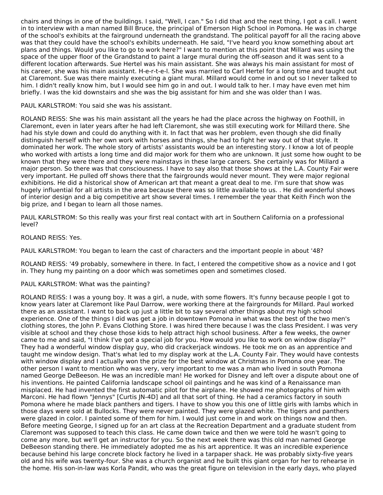chairs and things in one of the buildings. I said, "Well, I can." So I did that and the next thing, I got a call. I went in to interview with a man named Bill Bruce, the principal of Emerson High School in Pomona. He was in charge of the school's exhibits at the fairground underneath the grandstand. The political payoff for all the racing above was that they could have the school's exhibits underneath. He said, "I've heard you know something about art plans and things. Would you like to go to work here?" I want to mention at this point that Millard was using the space of the upper floor of the Grandstand to paint a large mural during the off-season and it was sent to a different location afterwards. Sue Hertel was his main assistant. She was always his main assistant for most of his career, she was his main assistant. H-e-r-t-e-l. She was married to Carl Hertel for a long time and taught out at Claremont. Sue was there mainly executing a giant mural. Millard would come in and out so I never talked to him. I didn't really know him, but I would see him go in and out. I would talk to her. I may have even met him briefly. I was the kid downstairs and she was the big assistant for him and she was older than I was.

PAUL KARLSTROM: You said she was his assistant.

ROLAND REISS: She was his main assistant all the years he had the place across the highway on Foothill, in Claremont, even in later years after he had left Claremont, she was still executing work for Millard there. She had his style down and could do anything with it. In fact that was her problem, even though she did finally distinguish herself with her own work with horses and things, she had to fight her way out of that style. It dominated her work. The whole story of artists' assistants would be an interesting story. I know a lot of people who worked with artists a long time and did major work for them who are unknown. It just some how ought to be known that they were there and they were mainstays in these large careers. She certainly was for Millard a major person. So there was that consciousness. I have to say also that those shows at the L.A. County Fair were very important. He pulled off shows there that the fairgrounds would never mount. They were major regional exhibitions. He did a historical show of American art that meant a great deal to me. I'm sure that show was hugely influential for all artists in the area because there was so little available to us. . He did wonderful shows of interior design and a big competitive art show several times. I remember the year that Keith Finch won the big prize, and I began to learn all those names.

PAUL KARLSTROM: So this really was your first real contact with art in Southern California on a professional level?

ROLAND REISS: Yes.

PAUL KARLSTROM: You began to learn the cast of characters and the important people in about '48?

ROLAND REISS: '49 probably, somewhere in there. In fact, I entered the competitive show as a novice and I got in. They hung my painting on a door which was sometimes open and sometimes closed.

### PAUL KARLSTROM: What was the painting?

ROLAND REISS: I was a young boy. It was a girl, a nude, with some flowers. It's funny because people I got to know years later at Claremont like Paul Darrow, were working there at the fairgrounds for Millard. Paul worked there as an assistant. I want to back up just a little bit to say several other things about my high school experience. One of the things I did was get a job in downtown Pomona in what was the best of the two men's clothing stores, the John P. Evans Clothing Store. I was hired there because I was the class President. I was very visible at school and they chose those kids to help attract high school business. After a few weeks, the owner came to me and said, "I think I've got a special job for you. How would you like to work on window display?" They had a wonderful window display guy, who did crackerjack windows. He took me on as an apprentice and taught me window design. That's what led to my display work at the L.A. County Fair. They would have contests with window display and I actually won the prize for the best window at Christmas in Pomona one year. The other person I want to mention who was very, very important to me was a man who lived in south Pomona named George DeBeeson. He was an incredible man! He worked for Disney and left over a dispute about one of his inventions. He painted California landscape school oil paintings and he was kind of a Renaissance man misplaced. He had invented the first automatic pilot for the airplane. He showed me photographs of him with Marconi. He had flown "Jennys" [Curtis JN-4D] and all that sort of thing. He had a ceramics factory in south Pomona where he made black panthers and tigers. I have to show you this one of little girls with lambs which in those days were sold at Bullocks. They were never painted. They were glazed white. The tigers and panthers were glazed in color. I painted some of them for him. I would just come in and work on things now and then. Before meeting George, I signed up for an art class at the Recreation Department and a graduate student from Claremont was supposed to teach this class. He came down twice and then we were told he wasn't going to come any more, but we'll get an instructor for you. So the next week there was this old man named George DeBeeson standing there. He immediately adopted me as his art apprentice. It was an incredible experience because behind his large concrete block factory he lived in a tarpaper shack. He was probably sixty-five years old and his wife was twenty-four. She was a church organist and he built this giant organ for her to rehearse in the home. His son-in-law was Korla Pandit, who was the great figure on television in the early days, who played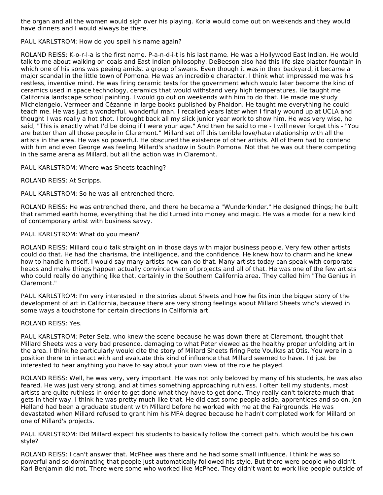the organ and all the women would sigh over his playing. Korla would come out on weekends and they would have dinners and I would always be there.

PAUL KARLSTROM: How do you spell his name again?

ROLAND REISS: K-o-r-l-a is the first name. P-a-n-d-i-t is his last name. He was a Hollywood East Indian. He would talk to me about walking on coals and East Indian philosophy. DeBeeson also had this life-size plaster fountain in which one of his sons was peeing amidst a group of swans. Even though it was in their backyard, it became a major scandal in the little town of Pomona. He was an incredible character. I think what impressed me was his restless, inventive mind. He was firing ceramic tests for the government which would later become the kind of ceramics used in space technology, ceramics that would withstand very high temperatures. He taught me California landscape school painting. I would go out on weekends with him to do that. He made me study Michelangelo, Vermeer and Cézanne in large books published by Phaidon. He taught me everything he could teach me. He was just a wonderful, wonderful man. I recalled years later when I finally wound up at UCLA and thought I was really a hot shot. I brought back all my slick junior year work to show him. He was very wise, he said, "This is exactly what I'd be doing if I were your age." And then he said to me - I will never forget this - "You are better than all those people in Claremont." Millard set off this terrible love/hate relationship with all the artists in the area. He was so powerful. He obscured the existence of other artists. All of them had to contend with him and even George was feeling Millard's shadow in South Pomona. Not that he was out there competing in the same arena as Millard, but all the action was in Claremont.

PAUL KARLSTROM: Where was Sheets teaching?

ROLAND REISS: At Scripps.

PAUL KARLSTROM: So he was all entrenched there.

ROLAND REISS: He was entrenched there, and there he became a "Wunderkinder." He designed things; he built that rammed earth home, everything that he did turned into money and magic. He was a model for a new kind of contemporary artist with business savvy.

## PAUL KARLSTROM: What do you mean?

ROLAND REISS: Millard could talk straight on in those days with major business people. Very few other artists could do that. He had the charisma, the intelligence, and the confidence. He knew how to charm and he knew how to handle himself. I would say many artists now can do that. Many artists today can speak with corporate heads and make things happen actually convince them of projects and all of that. He was one of the few artists who could really do anything like that, certainly in the Southern California area. They called him "The Genius in Claremont."

PAUL KARLSTROM: I'm very interested in the stories about Sheets and how he fits into the bigger story of the development of art in California, because there are very strong feelings about Millard Sheets who's viewed in some ways a touchstone for certain directions in California art.

### ROLAND REISS: Yes.

PAUL KARLSTROM: Peter Selz, who knew the scene because he was down there at Claremont, thought that Millard Sheets was a very bad presence, damaging to what Peter viewed as the healthy proper unfolding art in the area. I think he particularly would cite the story of Millard Sheets firing Pete Voulkas at Otis. You were in a position there to interact with and evaluate this kind of influence that Millard seemed to have. I'd just be interested to hear anything you have to say about your own view of the role he played.

ROLAND REISS: Well, he was very, very important. He was not only beloved by many of his students, he was also feared. He was just very strong, and at times something approaching ruthless. I often tell my students, most artists are quite ruthless in order to get done what they have to get done. They really can't tolerate much that gets in their way. I think he was pretty much like that. He did cast some people aside, apprentices and so on. Jon Helland had been a graduate student with Millard before he worked with me at the Fairgrounds. He was devastated when Millard refused to grant him his MFA degree because he hadn't completed work for Millard on one of Millard's projects.

PAUL KARLSTROM: Did Millard expect his students to basically follow the correct path, which would be his own style?

ROLAND REISS: I can't answer that. McPhee was there and he had some small influence. I think he was so powerful and so dominating that people just automatically followed his style. But there were people who didn't. Karl Benjamin did not. There were some who worked like McPhee. They didn't want to work like people outside of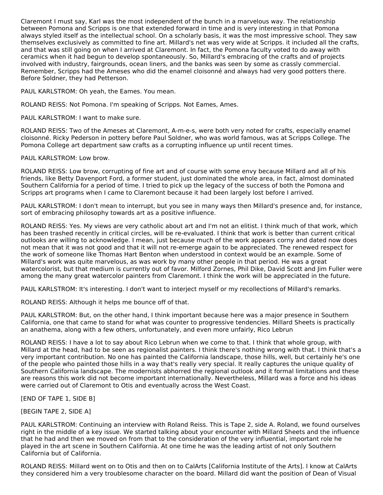Claremont I must say, Karl was the most independent of the bunch in a marvelous way. The relationship between Pomona and Scripps is one that extended forward in time and is very interesting in that Pomona always styled itself as the intellectual school. On a scholarly basis, it was the most impressive school. They saw themselves exclusively as committed to fine art. Millard's net was very wide at Scripps. it included all the crafts, and that was still going on when I arrived at Claremont. In fact, the Pomona faculty voted to do away with ceramics when it had begun to develop spontaneously. So, Millard's embracing of the crafts and of projects involved with industry, fairgrounds, ocean liners, and the banks was seen by some as crassly commercial. Remember, Scripps had the Ameses who did the enamel cloisonné and always had very good potters there. Before Soldner, they had Petterson.

PAUL KARLSTROM: Oh yeah, the Eames. You mean.

ROLAND REISS: Not Pomona. I'm speaking of Scripps. Not Eames, Ames.

PAUL KARLSTROM: I want to make sure.

ROLAND REISS: Two of the Ameses at Claremont, A-m-e-s, were both very noted for crafts, especially enamel cloisonné. Ricky Pederson in pottery before Paul Soldner, who was world famous, was at Scripps College. The Pomona College art department saw crafts as a corrupting influence up until recent times.

PAUL KARLSTROM: Low brow.

ROLAND REISS: Low brow, corrupting of fine art and of course with some envy because Millard and all of his friends, like Betty Davenport Ford, a former student, just dominated the whole area, in fact, almost dominated Southern California for a period of time. I tried to pick up the legacy of the success of both the Pomona and Scripps art programs when I came to Claremont because it had been largely lost before I arrived.

PAUL KARLSTROM: I don't mean to interrupt, but you see in many ways then Millard's presence and, for instance, sort of embracing philosophy towards art as a positive influence.

ROLAND REISS: Yes. My views are very catholic about art and I'm not an elitist. I think much of that work, which has been trashed recently in critical circles, will be re-evaluated. I think that work is better than current critical outlooks are willing to acknowledge. I mean, just because much of the work appears corny and dated now does not mean that it was not good and that it will not re-emerge again to be appreciated. The renewed respect for the work of someone like Thomas Hart Benton when understood in context would be an example. Some of Millard's work was quite marvelous, as was work by many other people in that period. He was a great watercolorist, but that medium is currently out of favor. Milford Zornes, Phil Dike, David Scott and Jim Fuller were among the many great watercolor painters from Claremont. I think the work will be appreciated in the future.

PAUL KARLSTROM: It's interesting. I don't want to interject myself or my recollections of Millard's remarks.

ROLAND REISS: Although it helps me bounce off of that.

PAUL KARLSTROM: But, on the other hand, I think important because here was a major presence in Southern California, one that came to stand for what was counter to progressive tendencies. Millard Sheets is practically an anathema, along with a few others, unfortunately, and even more unfairly, Rico Lebrun

ROLAND REISS: I have a lot to say about Rico Lebrun when we come to that. I think that whole group, with Millard at the head, had to be seen as regionalist painters. I think there's nothing wrong with that. I think that's a very important contribution. No one has painted the California landscape, those hills, well, but certainly he's one of the people who painted those hills in a way that's really very special. It really captures the unique quality of Southern California landscape. The modernists abhorred the regional outlook and it formal limitations and these are reasons this work did not become important internationally. Nevertheless, Millard was a force and his ideas were carried out of Claremont to Otis and eventually across the West Coast.

[END OF TAPE 1, SIDE B]

[BEGIN TAPE 2, SIDE A]

PAUL KARLSTROM: Continuing an interview with Roland Reiss. This is Tape 2, side A. Roland, we found ourselves right in the middle of a key issue. We started talking about your encounter with Millard Sheets and the influence that he had and then we moved on from that to the consideration of the very influential, important role he played in the art scene in Southern California. At one time he was the leading artist of not only Southern California but of California.

ROLAND REISS: Millard went on to Otis and then on to CalArts [California Institute of the Arts]. I know at CalArts they considered him a very troublesome character on the board. Millard did want the position of Dean of Visual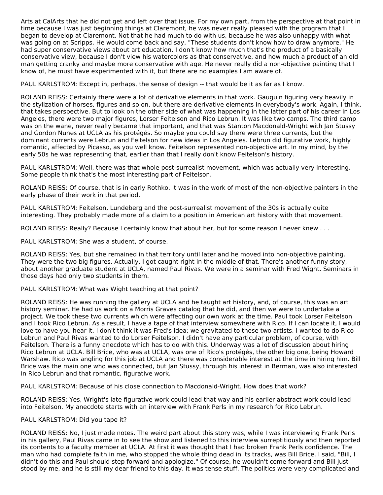Arts at CalArts that he did not get and left over that issue. For my own part, from the perspective at that point in time because I was just beginning things at Claremont, he was never really pleased with the program that I began to develop at Claremont. Not that he had much to do with us, because he was also unhappy with what was going on at Scripps. He would come back and say, "These students don't know how to draw anymore." He had super conservative views about art education. I don't know how much that's the product of a basically conservative view, because I don't view his watercolors as that conservative, and how much a product of an old man getting cranky and maybe more conservative with age. He never really did a non-objective painting that I know of, he must have experimented with it, but there are no examples I am aware of.

PAUL KARLSTROM: Except in, perhaps, the sense of design -- that would be it as far as I know.

ROLAND REISS: Certainly there were a lot of derivative elements in that work. Gauguin figuring very heavily in the stylization of horses, figures and so on, but there are derivative elements in everybody's work. Again, I think, that takes perspective. But to look on the other side of what was happening in the latter part of his career in Los Angeles, there were two major figures, Lorser Feitelson and Rico Lebrun. It was like two camps. The third camp was on the wane, never really became that important, and that was Stanton Macdonald-Wright with Jan Stussy and Gordon Nunes at UCLA as his protégés. So maybe you could say there were three currents, but the dominant currents were Lebrun and Feitelson for new ideas in Los Angeles. Lebrun did figurative work, highly romantic, affected by Picasso, as you well know. Feitelson represented non-objective art. In my mind, by the early 50s he was representing that, earlier than that I really don't know Feitelson's history.

PAUL KARLSTROM: Well, there was that whole post-surrealist movement, which was actually very interesting. Some people think that's the most interesting part of Feitelson.

ROLAND REISS: Of course, that is in early Rothko. It was in the work of most of the non-objective painters in the early phase of their work in that period.

PAUL KARLSTROM: Feitelson, Lundeberg and the post-surrealist movement of the 30s is actually quite interesting. They probably made more of a claim to a position in American art history with that movement.

ROLAND REISS: Really? Because I certainly know that about her, but for some reason I never knew . . .

PAUL KARLSTROM: She was a student, of course.

ROLAND REISS: Yes, but she remained in that territory until later and he moved into non-objective painting. They were the two big figures. Actually, I got caught right in the middle of that. There's another funny story, about another graduate student at UCLA, named Paul Rivas. We were in a seminar with Fred Wight. Seminars in those days had only two students in them.

## PAUL KARLSTROM: What was Wight teaching at that point?

ROLAND REISS: He was running the gallery at UCLA and he taught art history, and, of course, this was an art history seminar. He had us work on a Morris Graves catalog that he did, and then we were to undertake a project. We took these two currents which were affecting our own work at the time. Paul took Lorser Feitelson and I took Rico Lebrun. As a result, I have a tape of that interview somewhere with Rico. If I can locate it, I would love to have you hear it. I don't think it was Fred's idea; we gravitated to these two artists. I wanted to do Rico Lebrun and Paul Rivas wanted to do Lorser Feitelson. I didn't have any particular problem, of course, with Feitelson. There is a funny anecdote which has to do with this. Underway was a lot of discussion about hiring Rico Lebrun at UCLA. Bill Brice, who was at UCLA, was one of Rico's protégés, the other big one, being Howard Warshaw. Rico was angling for this job at UCLA and there was considerable interest at the time in hiring him. Bill Brice was the main one who was connected, but Jan Stussy, through his interest in Berman, was also interested in Rico Lebrun and that romantic, figurative work.

PAUL KARLSTROM: Because of his close connection to Macdonald-Wright. How does that work?

ROLAND REISS: Yes, Wright's late figurative work could lead that way and his earlier abstract work could lead into Feitelson. My anecdote starts with an interview with Frank Perls in my research for Rico Lebrun.

### PAUL KARLSTROM: Did you tape it?

ROLAND REISS: No, I just made notes. The weird part about this story was, while I was interviewing Frank Perls in his gallery, Paul Rivas came in to see the show and listened to this interview surreptitiously and then reported its contents to a faculty member at UCLA. At first it was thought that I had broken Frank Perls confidence. The man who had complete faith in me, who stopped the whole thing dead in its tracks, was Bill Brice. I said, "Bill, I didn't do this and Paul should step forward and apologize." Of course, he wouldn't come forward and Bill just stood by me, and he is still my dear friend to this day. It was tense stuff. The politics were very complicated and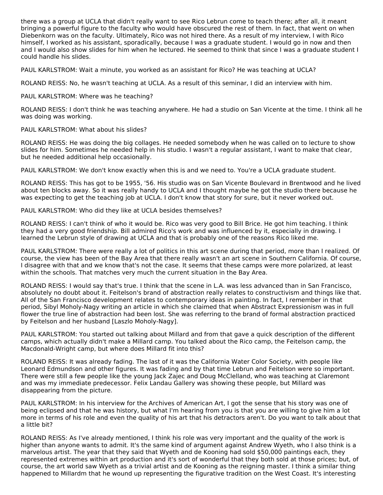there was a group at UCLA that didn't really want to see Rico Lebrun come to teach there; after all, it meant bringing a powerful figure to the faculty who would have obscured the rest of them. In fact, that went on when Diebenkorn was on the faculty. Ultimately, Rico was not hired there. As a result of my interview, I with Rico himself, I worked as his assistant, sporadically, because I was a graduate student. I would go in now and then and I would also show slides for him when he lectured. He seemed to think that since I was a graduate student I could handle his slides.

PAUL KARLSTROM: Wait a minute, you worked as an assistant for Rico? He was teaching at UCLA?

ROLAND REISS: No, he wasn't teaching at UCLA. As a result of this seminar, I did an interview with him.

## PAUL KARLSTROM: Where was he teaching?

ROLAND REISS: I don't think he was teaching anywhere. He had a studio on San Vicente at the time. I think all he was doing was working.

## PAUL KARLSTROM: What about his slides?

ROLAND REISS: He was doing the big collages. He needed somebody when he was called on to lecture to show slides for him. Sometimes he needed help in his studio. I wasn't a regular assistant, I want to make that clear, but he needed additional help occasionally.

PAUL KARLSTROM: We don't know exactly when this is and we need to. You're a UCLA graduate student.

ROLAND REISS: This has got to be 1955, '56. His studio was on San Vicente Boulevard in Brentwood and he lived about ten blocks away. So it was really handy to UCLA and I thought maybe he got the studio there because he was expecting to get the teaching job at UCLA. I don't know that story for sure, but it never worked out.

PAUL KARLSTROM: Who did they like at UCLA besides themselves?

ROLAND REISS: I can't think of who it would be. Rico was very good to Bill Brice. He got him teaching. I think they had a very good friendship. Bill admired Rico's work and was influenced by it, especially in drawing. I learned the Lebrun style of drawing at UCLA and that is probably one of the reasons Rico liked me.

PAUL KARLSTROM: There were really a lot of politics in this art scene during that period, more than I realized. Of course, the view has been of the Bay Area that there really wasn't an art scene in Southern California. Of course, I disagree with that and we know that's not the case. It seems that these camps were more polarized, at least within the schools. That matches very much the current situation in the Bay Area.

ROLAND REISS: I would say that's true. I think that the scene in L.A. was less advanced than in San Francisco, absolutely no doubt about it. Feitelson's brand of abstraction really relates to constructivism and things like that. All of the San Francisco development relates to contemporary ideas in painting. In fact, I remember in that period, Sibyl Moholy-Nagy writing an article in which she claimed that when Abstract Expressionism was in full flower the true line of abstraction had been lost. She was referring to the brand of formal abstraction practiced by Feitelson and her husband [Laszlo Moholy-Nagy].

PAUL KARLSTROM: You started out talking about Millard and from that gave a quick description of the different camps, which actually didn't make a Millard camp. You talked about the Rico camp, the Feitelson camp, the Macdonald-Wright camp, but where does Millard fit into this?

ROLAND REISS: It was already fading. The last of it was the California Water Color Society, with people like Leonard Edmundson and other figures. It was fading and by that time Lebrun and Feitelson were so important. There were still a few people like the young lack Zajec and Doug McClelland, who was teaching at Claremont and was my immediate predecessor. Felix Landau Gallery was showing these people, but Millard was disappearing from the picture.

PAUL KARLSTROM: In his interview for the Archives of American Art, I got the sense that his story was one of being eclipsed and that he was history, but what I'm hearing from you is that you are willing to give him a lot more in terms of his role and even the quality of his art that his detractors aren't. Do you want to talk about that a little bit?

ROLAND REISS: As I've already mentioned, I think his role was very important and the quality of the work is higher than anyone wants to admit. It's the same kind of argument against Andrew Wyeth, who I also think is a marvelous artist. The year that they said that Wyeth and de Kooning had sold \$50,000 paintings each, they represented extremes within art production and it's sort of wonderful that they both sold at those prices; but, of course, the art world saw Wyeth as a trivial artist and de Kooning as the reigning master. I think a similar thing happened to Millardm that he wound up representing the figurative tradition on the West Coast. It's interesting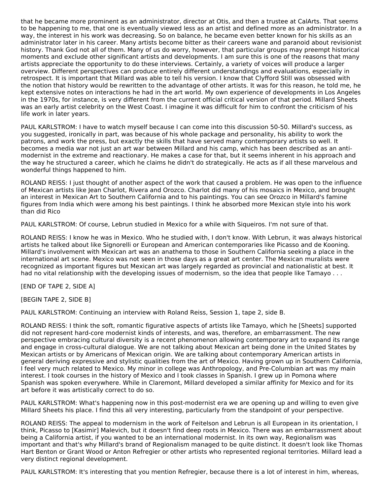that he became more prominent as an administrator, director at Otis, and then a trustee at CalArts. That seems to be happening to me, that one is eventually viewed less as an artist and defined more as an administrator. In a way, the interest in his work was decreasing. So on balance, he became even better known for his skills as an administrator later in his career. Many artists become bitter as their careers wane and paranoid about revisionist history. Thank God not all of them. Many of us do worry, however, that particular groups may preempt historical moments and exclude other significant artists and developments. I am sure this is one of the reasons that many artists appreciate the opportunity to do these interviews. Certainly, a variety of voices will produce a larger overview. Different perspectives can produce entirely different understandings and evaluations, especially in retrospect. It is important that Millard was able to tell his version. I know that Clyfford Still was obsessed with the notion that history would be rewritten to the advantage of other artists. It was for this reason, he told me, he kept extensive notes on interactions he had in the art world. My own experience of developments in Los Angeles in the 1970s, for instance, is very different from the current official critical version of that period. Millard Sheets was an early artist celebrity on the West Coast. I imagine it was difficult for him to confront the criticism of his life work in later years.

PAUL KARLSTROM: I have to watch myself because I can come into this discussion 50-50. Millard's success, as you suggested, ironically in part, was because of his whole package and personality, his ability to work the patrons, and work the press, but exactly the skills that have served many contemporary artists so well. It becomes a media war not just an art war between Millard and his camp, which has been described as an anti modernist in the extreme and reactionary. He makes a case for that, but it seems inherent in his approach and the way he structured a career, which he claims he didn't do strategically. He acts as if all these marvelous and wonderful things happened to him.

ROLAND REISS: I just thought of another aspect of the work that caused a problem. He was open to the influence of Mexican artists like Jean Charlot, Rivera and Orozco. Charlot did many of his mosaics in Mexico, and brought an interest in Mexican Art to Southern California and to his paintings. You can see Orozco in Millard's famine figures from India which were among his best paintings. I think he absorbed more Mexican style into his work than did Rico

PAUL KARLSTROM: Of course, Lebrun studied in Mexico for a while with Siqueiros. I'm not sure of that.

ROLAND REISS: I know he was in Mexico. Who he studied with, I don't know. With Lebrun, it was always historical artists he talked about like Signorelli or European and American contemporaries like Picasso and de Kooning. Millard's involvement with Mexican art was an anathema to those in Southern California seeking a place in the international art scene. Mexico was not seen in those days as a great art center. The Mexican muralists were recognized as important figures but Mexican art was largely regarded as provincial and nationalistic at best. It had no vital relationship with the developing issues of modernism, so the idea that people like Tamayo . . .

[END OF TAPE 2, SIDE A]

[BEGIN TAPE 2, SIDE B]

PAUL KARLSTROM: Continuing an interview with Roland Reiss, Session 1, tape 2, side B.

ROLAND REISS: I think the soft, romantic figurative aspects of artists like Tamayo, which he [Sheets] supported did not represent hard-core modernist kinds of interests, and was, therefore, an embarrassment. The new perspective embracing cultural diversity is a recent phenomenon allowing contemporary art to expand its range and engage in cross-cultural dialogue. We are not talking about Mexican art being done in the United States by Mexican artists or by Americans of Mexican origin. We are talking about contemporary American artists in general deriving expressive and stylistic qualities from the art of Mexico. Having grown up in Southern California, I feel very much related to Mexico. My minor in college was Anthropology, and Pre-Columbian art was my main interest. I took courses in the history of Mexico and I took classes in Spanish. I grew up in Pomona where Spanish was spoken everywhere. While in Claremont, Millard developed a similar affinity for Mexico and for its art before it was artistically correct to do so.

PAUL KARLSTROM: What's happening now in this post-modernist era we are opening up and willing to even give Millard Sheets his place. I find this all very interesting, particularly from the standpoint of your perspective.

ROLAND REISS: The appeal to modernism in the work of Feitelson and Lebrun is all European in its orientation, I think, Picasso to [Kasimir] Malevich, but it doesn't find deep roots in Mexico. There was an embarrassment about being a California artist, if you wanted to be an international modernist. In its own way, Regionalism was important and that's why Millard's brand of Regionalism managed to be quite distinct. It doesn't look like Thomas Hart Benton or Grant Wood or Anton Refregier or other artists who represented regional territories. Millard lead a very distinct regional development.

PAUL KARLSTROM: It's interesting that you mention Refregier, because there is a lot of interest in him, whereas,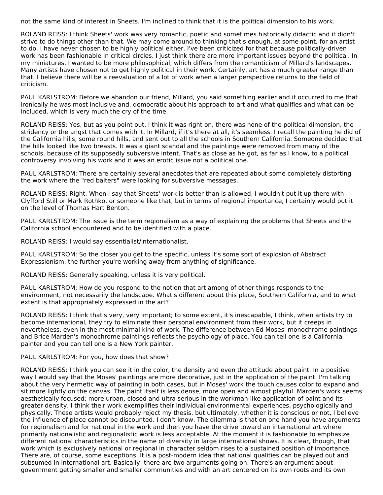not the same kind of interest in Sheets. I'm inclined to think that it is the political dimension to his work.

ROLAND REISS: I think Sheets' work was very romantic, poetic and sometimes historically didactic and it didn't strive to do things other than that. We may come around to thinking that's enough, at some point, for an artist to do. I have never chosen to be highly political either. I've been criticized for that because politically-driven work has been fashionable in critical circles. I just think there are more important issues beyond the political. In my miniatures, I wanted to be more philosophical, which differs from the romanticism of Millard's landscapes. Many artists have chosen not to get highly political in their work. Certainly, art has a much greater range than that. I believe there will be a reevaluation of a lot of work when a larger perspective returns to the field of criticism.

PAUL KARLSTROM: Before we abandon our friend, Millard, you said something earlier and it occurred to me that ironically he was most inclusive and, democratic about his approach to art and what qualifies and what can be included, which is very much the cry of the time.

ROLAND REISS: Yes, but as you point out, I think it was right on, there was none of the political dimension, the stridency or the angst that comes with it. In Millard, if it's there at all, it's seamless. I recall the painting he did of the California hills, some round hills, and sent out to all the schools in Southern California. Someone decided that the hills looked like two breasts. It was a giant scandal and the paintings were removed from many of the schools, because of its supposedly subversive intent. That's as close as he got, as far as I know, to a political controversy involving his work and it was an erotic issue not a political one.

PAUL KARLSTROM: There are certainly several anecdotes that are repeated about some completely distorting the work where the "red baiters" were looking for subversive messages.

ROLAND REISS: Right. When I say that Sheets' work is better than is allowed, I wouldn't put it up there with Clyfford Still or Mark Rothko, or someone like that, but in terms of regional importance, I certainly would put it on the level of Thomas Hart Benton.

PAUL KARLSTROM: The issue is the term regionalism as a way of explaining the problems that Sheets and the California school encountered and to be identified with a place.

ROLAND REISS: I would say essentialist/internationalist.

PAUL KARLSTROM: So the closer you get to the specific, unless it's some sort of explosion of Abstract Expressionism, the further you're working away from anything of significance.

ROLAND REISS: Generally speaking, unless it is very political.

PAUL KARLSTROM: How do you respond to the notion that art among of other things responds to the environment, not necessarily the landscape. What's different about this place, Southern California, and to what extent is that appropriately expressed in the art?

ROLAND REISS: I think that's very, very important; to some extent, it's inescapable, I think, when artists try to become international, they try to eliminate their personal environment from their work, but it creeps in nevertheless, even in the most minimal kind of work. The difference between Ed Moses' monochrome paintings and Brice Marden's monochrome paintings reflects the psychology of place. You can tell one is a California painter and you can tell one is a New York painter.

PAUL KARLSTROM: For you, how does that show?

ROLAND REISS: I think you can see it in the color, the density and even the attitude about paint. In a positive way I would say that the Moses' paintings are more decorative, just in the application of the paint. I'm talking about the very hermetic way of painting in both cases, but in Moses' work the touch causes color to expand and sit more lightly on the canvas. The paint itself is less dense, more open and almost playful. Marden's work seems aesthetically focused; more urban, closed and ultra serious in the workman-like application of paint and its greater density. I think their work exemplifies their individual environmental experiences, psychologically and physically. These artists would probably reject my thesis, but ultimately, whether it is conscious or not, I believe the influence of place cannot be discounted. I don't know. The dilemma is that on one hand you have arguments for regionalism and for national in the work and then you have the drive toward an international art where primarily nationalistic and regionalistic work is less acceptable. At the moment it is fashionable to emphasize different national characteristics in the name of diversity in large international shows. It is clear, though, that work which is exclusively national or regional in character seldom rises to a sustained position of importance. There are, of course, some exceptions. It is a post-modern idea that national qualities can be played out and subsumed in international art. Basically, there are two arguments going on. There's an argument about government getting smaller and smaller communities and with an art centered on its own roots and its own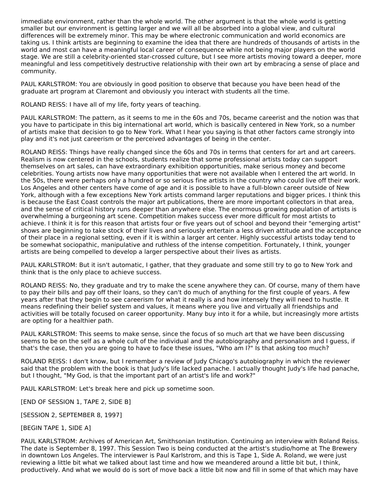immediate environment, rather than the whole world. The other argument is that the whole world is getting smaller but our environment is getting larger and we will all be absorbed into a global view, and cultural differences will be extremely minor. This may be where electronic communication and world economics are taking us. I think artists are beginning to examine the idea that there are hundreds of thousands of artists in the world and most can have a meaningful local career of consequence while not being major players on the world stage. We are still a celebrity-oriented star-crossed culture, but I see more artists moving toward a deeper, more meaningful and less competitively destructive relationship with their own art by embracing a sense of place and community.

PAUL KARLSTROM: You are obviously in good position to observe that because you have been head of the graduate art program at Claremont and obviously you interact with students all the time.

ROLAND REISS: I have all of my life, forty years of teaching.

PAUL KARLSTROM: The pattern, as it seems to me in the 60s and 70s, became careerist and the notion was that you have to participate in this big international art world, which is basically centered in New York, so a number of artists make that decision to go to New York. What I hear you saying is that other factors came strongly into play and it's not just careerism or the perceived advantages of being in the center.

ROLAND REISS: Things have really changed since the 60s and 70s in terms that centers for art and art careers. Realism is now centered in the schools, students realize that some professional artists today can support themselves on art sales, can have extraordinary exhibition opportunities, make serious money and become celebrities. Young artists now have many opportunities that were not available when I entered the art world. In the 50s, there were perhaps only a hundred or so serious fine artists in the country who could live off their work. Los Angeles and other centers have come of age and it is possible to have a full-blown career outside of New York, although with a few exceptions New York artists command larger reputations and bigger prices. I think this is because the East Coast controls the major art publications, there are more important collectors in that area, and the sense of critical history runs deeper than anywhere else. The enormous growing population of artists is overwhelming a burgeoning art scene. Competition makes success ever more difficult for most artists to achieve. I think it is for this reason that artists four or five years out of school and beyond their "emerging artist" shows are beginning to take stock of their lives and seriously entertain a less driven attitude and the acceptance of their place in a regional setting, even if it is within a larger art center. Highly successful artists today tend to be somewhat sociopathic, manipulative and ruthless of the intense competition. Fortunately, I think, younger artists are being compelled to develop a larger perspective about their lives as artists.

PAUL KARLSTROM: But it isn't automatic, I gather, that they graduate and some still try to go to New York and think that is the only place to achieve success.

ROLAND REISS: No, they graduate and try to make the scene anywhere they can. Of course, many of them have to pay their bills and pay off their loans, so they can't do much of anything for the first couple of years. A few years after that they begin to see careerism for what it really is and how intensely they will need to hustle. It means redefining their belief system and values, it means where you live and virtually all friendships and activities will be totally focused on career opportunity. Many buy into it for a while, but increasingly more artists are opting for a healthier path.

PAUL KARLSTROM: This seems to make sense, since the focus of so much art that we have been discussing seems to be on the self as a whole cult of the individual and the autobiography and personalism and I guess, if that's the case, then you are going to have to face these issues, "Who am I?" Is that asking too much?

ROLAND REISS: I don't know, but I remember a review of Judy Chicago's autobiography in which the reviewer said that the problem with the book is that Judy's life lacked panache. I actually thought Judy's life had panache, but I thought, "My God, is that the important part of an artist's life and work?"

PAUL KARLSTROM: Let's break here and pick up sometime soon.

[END OF SESSION 1, TAPE 2, SIDE B]

[SESSION 2, SEPTEMBER 8, 1997]

[BEGIN TAPE 1, SIDE A]

PAUL KARLSTROM: Archives of American Art, Smithsonian Institution. Continuing an interview with Roland Reiss. The date is September 8, 1997. This Session Two is being conducted at the artist's studio/home at The Brewery in downtown Los Angeles. The interviewer is Paul Karlstrom, and this is Tape 1, Side A. Roland, we were just reviewing a little bit what we talked about last time and how we meandered around a little bit but, I think, productively. And what we would do is sort of move back a little bit now and fill in some of that which may have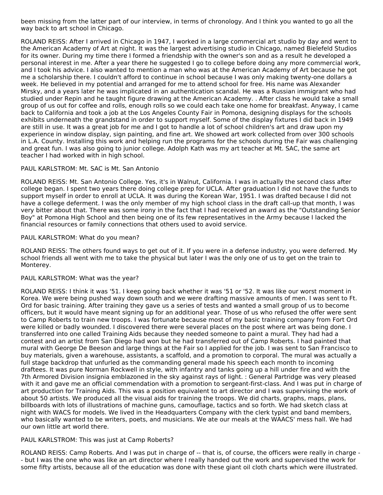been missing from the latter part of our interview, in terms of chronology. And I think you wanted to go all the way back to art school in Chicago.

ROLAND REISS: After I arrived in Chicago in 1947, I worked in a large commercial art studio by day and went to the American Academy of Art at night. It was the largest advertising studio in Chicago, named Bielefeld Studios for its owner. During my time there I formed a friendship with the owner's son and as a result he developed a personal interest in me. After a year there he suggested I go to college before doing any more commercial work, and I took his advice. I also wanted to mention a man who was at the American Academy of Art because he got me a scholarship there. I couldn't afford to continue in school because I was only making twenty-one dollars a week. He believed in my potential and arranged for me to attend school for free. His name was Alexander Mirsky, and a years later he was implicated in an authentication scandal. He was a Russian immigrant who had studied under Repin and he taught figure drawing at the American Academy. . After class he would take a small group of us out for coffee and rolls, enough rolls so we could each take one home for breakfast. Anyway, I came back to California and took a job at the Los Angeles County Fair in Pomona, designing displays for the schools exhibits underneath the grandstand in order to support myself. Some of the display fixtures I did back in 1949 are still in use. It was a great job for me and I got to handle a lot of school children's art and draw upon my experience in window display, sign painting, and fine art. We showed art work collected from over 300 schools in L.A. County. Installing this work and helping run the programs for the schools during the Fair was challenging and great fun. I was also going to junior college. Adolph Kath was my art teacher at Mt. SAC, the same art teacher I had worked with in high school.

## PAUL KARLSTROM: Mt. SAC is Mt. San Antonio

ROLAND REISS: Mt. San Antonio College. Yes, it's in Walnut, California. I was in actually the second class after college began. I spent two years there doing college prep for UCLA. After graduation I did not have the funds to support myself in order to enroll at UCLA. It was during the Korean War, 1951. I was drafted because I did not have a college deferment. I was the only member of my high school class in the draft call-up that month, I was very bitter about that. There was some irony in the fact that I had received an award as the "Outstanding Senior Boy" at Pomona High School and then being one of its few representatives in the Army because I lacked the financial resources or family connections that others used to avoid service.

## PAUL KARLSTROM: What do you mean?

ROLAND REISS: The others found ways to get out of it. If you were in a defense industry, you were deferred. My school friends all went with me to take the physical but later I was the only one of us to get on the train to Monterey.

### PAUL KARLSTROM: What was the year?

ROLAND REISS: I think it was '51. I keep going back whether it was '51 or '52. It was like our worst moment in Korea. We were being pushed way down south and we were drafting massive amounts of men. I was sent to Ft. Ord for basic training. After training they gave us a series of tests and wanted a small group of us to become officers, but it would have meant signing up for an additional year. Those of us who refused the offer were sent to Camp Roberts to train new troops. I was fortunate because most of my basic training company from Fort Ord were killed or badly wounded. I discovered there were several places on the post where art was being done. I transferred into one called Training Aids because they needed someone to paint a mural. They had had a contest and an artist from San Diego had won but he had transferred out of Camp Roberts. I had painted that mural with George De Beeson and large things at the Fair so I applied for the job. I was sent to San Francisco to buy materials, given a warehouse, assistants, a scaffold, and a promotion to corporal. The mural was actually a full stage backdrop that unfurled as the commanding general made his speech each month to incoming draftees. It was pure Norman Rockwell in style, with infantry and tanks going up a hill under fire and with the 7th Armored Division insignia emblazoned in the sky against rays of light. : General Partridge was very pleased with it and gave me an official commendation with a promotion to sergeant-first-class. And I was put in charge of art production for Training Aids. This was a position equivalent to art director and I was supervising the work of about 50 artists. We produced all the visual aids for training the troops. We did charts, graphs, maps, plans, billboards with lots of illustrations of machine guns, camouflage, tactics and so forth. We had sketch class at night with WACS for models. We lived in the Headquarters Company with the clerk typist and band members, who basically wanted to be writers, poets, and musicians. We ate our meals at the WAACS' mess hall. We had our own little art world there.

## PAUL KARLSTROM: This was just at Camp Roberts?

ROLAND REISS: Camp Roberts. And I was put in charge of -- that is, of course, the officers were really in charge -- but I was the one who was like an art director where I really handed out the work and supervised the work for some fifty artists, because all of the education was done with these giant oil cloth charts which were illustrated.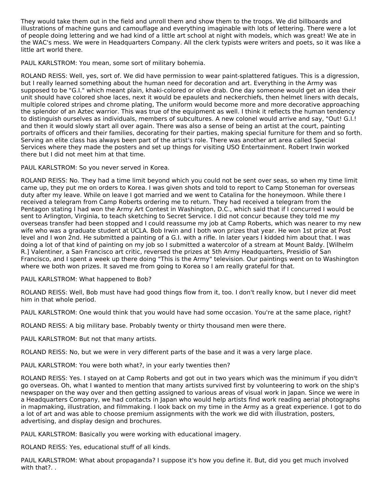They would take them out in the field and unroll them and show them to the troops. We did billboards and illustrations of machine guns and camouflage and everything imaginable with lots of lettering. There were a lot of people doing lettering and we had kind of a little art school at night with models, which was great! We ate in the WAC's mess. We were in Headquarters Company. All the clerk typists were writers and poets, so it was like a little art world there.

PAUL KARLSTROM: You mean, some sort of military bohemia.

ROLAND REISS: Well, yes, sort of. We did have permission to wear paint-splattered fatigues. This is a digression, but I really learned something about the human need for decoration and art. Everything in the Army was supposed to be "G.I." which meant plain, khaki-colored or olive drab. One day someone would get an idea their unit should have colored shoe laces, next it would be epaulets and neckerchiefs, then helmet liners with decals, multiple colored stripes and chrome plating, The uniform would become more and more decorative approaching the splendor of an Aztec warrior. This was true of the equipment as well. I think it reflects the human tendency to distinguish ourselves as individuals, members of subcultures. A new colonel would arrive and say, "Out! G.I.! and then it would slowly start all over again. There was also a sense of being an artist at the court, painting portraits of officers and their families, decorating for their parties, making special furniture for them and so forth. Serving an elite class has always been part of the artist's role. There was another art area called Special Services where they made the posters and set up things for visiting USO Entertainment. Robert Irwin worked there but I did not meet him at that time.

PAUL KARLSTROM: So you never served in Korea.

ROLAND REISS: No. They had a time limit beyond which you could not be sent over seas, so when my time limit came up, they put me on orders to Korea. I was given shots and told to report to Camp Stoneman for overseas duty after my leave. While on leave I got married and we went to Catalina for the honeymoon. While there I received a telegram from Camp Roberts ordering me to return. They had received a telegram from the Pentagon stating I had won the Army Art Contest in Washington, D.C., which said that if I concurred I would be sent to Arlington, Virginia, to teach sketching to Secret Service. I did not concur because they told me my overseas transfer had been stopped and I could reassume my job at Camp Roberts, which was nearer to my new wife who was a graduate student at UCLA. Bob Irwin and I both won prizes that year. He won 1st prize at Post level and I won 2nd. He submitted a painting of a G.I. with a rifle. In later years I kidded him about that. I was doing a lot of that kind of painting on my job so I submitted a watercolor of a stream at Mount Baldy. [Wilhelm R.] Valentiner, a San Francisco art critic, reversed the prizes at 5th Army Headquarters, Presidio of San Francisco, and I spent a week up there doing "This is the Army" television. Our paintings went on to Washington where we both won prizes. It saved me from going to Korea so I am really grateful for that.

PAUL KARLSTROM: What happened to Bob?

ROLAND REISS: Well, Bob must have had good things flow from it, too. I don't really know, but I never did meet him in that whole period.

PAUL KARLSTROM: One would think that you would have had some occasion. You're at the same place, right?

ROLAND REISS: A big military base. Probably twenty or thirty thousand men were there.

PAUL KARLSTROM: But not that many artists.

ROLAND REISS: No, but we were in very different parts of the base and it was a very large place.

PAUL KARLSTROM: You were both what?, in your early twenties then?

ROLAND REISS: Yes. I stayed on at Camp Roberts and got out in two years which was the minimum if you didn't go overseas. Oh, what I wanted to mention that many artists survived first by volunteering to work on the ship's newspaper on the way over and then getting assigned to various areas of visual work in Japan. Since we were in a Headquarters Company, we had contacts in Japan who would help artists find work reading aerial photographs in mapmaking, illustration, and filmmaking. I look back on my time in the Army as a great experience. I got to do a lot of art and was able to choose premium assignments with the work we did with illustration, posters, advertising, and display design and brochures.

PAUL KARLSTROM: Basically you were working with educational imagery.

ROLAND REISS: Yes, educational stuff of all kinds.

PAUL KARLSTROM: What about propaganda? I suppose it's how you define it. But, did you get much involved with that?..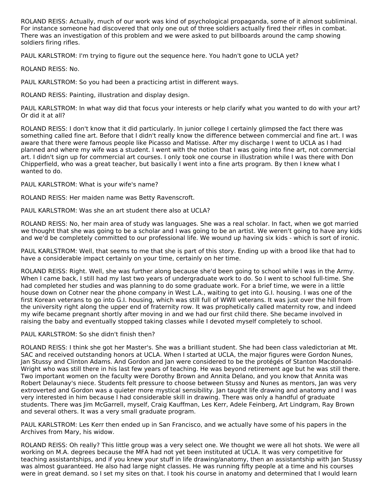ROLAND REISS: Actually, much of our work was kind of psychological propaganda, some of it almost subliminal. For instance someone had discovered that only one out of three soldiers actually fired their rifles in combat. There was an investigation of this problem and we were asked to put billboards around the camp showing soldiers firing rifles.

PAUL KARLSTROM: I'm trying to figure out the sequence here. You hadn't gone to UCLA yet?

ROLAND REISS: No.

PAUL KARLSTROM: So you had been a practicing artist in different ways.

ROLAND REISS: Painting, illustration and display design.

PAUL KARLSTROM: In what way did that focus your interests or help clarify what you wanted to do with your art? Or did it at all?

ROLAND REISS: I don't know that it did particularly. In junior college I certainly glimpsed the fact there was something called fine art. Before that I didn't really know the difference between commercial and fine art. I was aware that there were famous people like Picasso and Matisse. After my discharge I went to UCLA as I had planned and where my wife was a student. I went with the notion that I was going into fine art, not commercial art. I didn't sign up for commercial art courses. I only took one course in illustration while I was there with Don Chipperfield, who was a great teacher, but basically I went into a fine arts program. By then I knew what I wanted to do.

PAUL KARLSTROM: What is your wife's name?

ROLAND REISS: Her maiden name was Betty Ravenscroft.

PAUL KARLSTROM: Was she an art student there also at UCLA?

ROLAND REISS: No, her main area of study was languages. She was a real scholar. In fact, when we got married we thought that she was going to be a scholar and I was going to be an artist. We weren't going to have any kids and we'd be completely committed to our professional life. We wound up having six kids - which is sort of ironic.

PAUL KARLSTROM: Well, that seems to me that she is part of this story. Ending up with a brood like that had to have a considerable impact certainly on your time, certainly on her time.

ROLAND REISS: Right. Well, she was further along because she'd been going to school while I was in the Army. When I came back, I still had my last two years of undergraduate work to do. So I went to school full-time. She had completed her studies and was planning to do some graduate work. For a brief time, we were in a little house down on Cotner near the phone company in West L.A., waiting to get into G.I. housing. I was one of the first Korean veterans to go into G.I. housing, which was still full of WWII veterans. It was just over the hill from the university right along the upper end of fraternity row. It was prophetically called maternity row, and indeed my wife became pregnant shortly after moving in and we had our first child there. She became involved in raising the baby and eventually stopped taking classes while I devoted myself completely to school.

## PAUL KARLSTROM: So she didn't finish then?

ROLAND REISS: I think she got her Master's. She was a brilliant student. She had been class valedictorian at Mt. SAC and received outstanding honors at UCLA. When I started at UCLA, the major figures were Gordon Nunes, Jan Stussy and Clinton Adams. And Gordon and Jan were considered to be the protégés of Stanton Macdonald- Wright who was still there in his last few years of teaching. He was beyond retirement age but he was still there. Two important women on the faculty were Dorothy Brown and Annita Delano, and you know that Annita was Robert Delaunay's niece. Students felt pressure to choose between Stussy and Nunes as mentors, Jan was very extroverted and Gordon was a quieter more mystical sensibility. Jan taught life drawing and anatomy and I was very interested in him because I had considerable skill in drawing. There was only a handful of graduate students. There was Jim McGarrell, myself, Craig Kauffman, Les Kerr, Adele Feinberg, Art Lindgram, Ray Brown and several others. It was a very small graduate program.

PAUL KARLSTROM: Les Kerr then ended up in San Francisco, and we actually have some of his papers in the Archives from Mary, his widow.

ROLAND REISS: Oh really? This little group was a very select one. We thought we were all hot shots. We were all working on M.A. degrees because the MFA had not yet been instituted at UCLA. It was very competitive for teaching assistantships, and if you knew your stuff in life drawing/anatomy, then an assistantship with Jan Stussy was almost guaranteed. He also had large night classes. He was running fifty people at a time and his courses were in great demand. so I set my sites on that. I took his course in anatomy and determined that I would learn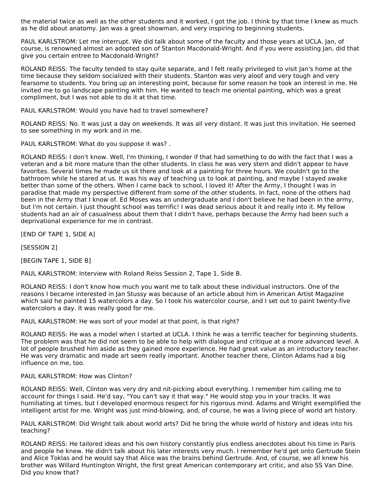the material twice as well as the other students and it worked, I got the job. I think by that time I knew as much as he did about anatomy. Jan was a great showman, and very inspiring to beginning students.

PAUL KARLSTROM: Let me interrupt. We did talk about some of the faculty and those years at UCLA. Jan, of course, is renowned almost an adopted son of Stanton Macdonald-Wright. And if you were assisting Jan, did that give you certain entree to Macdonald-Wright?

ROLAND REISS: The faculty tended to stay quite separate, and I felt really privileged to visit Jan's home at the time because they seldom socialized with their students. Stanton was very aloof and very tough and very fearsome to students. You bring up an interesting point, because for some reason he took an interest in me. He invited me to go landscape painting with him. He wanted to teach me oriental painting, which was a great compliment, but I was not able to do it at that time.

PAUL KARLSTROM: Would you have had to travel somewhere?

ROLAND REISS: No. It was just a day on weekends. It was all very distant. It was just this invitation. He seemed to see something in my work and in me.

PAUL KARLSTROM: What do you suppose it was? .

ROLAND REISS: I don't know. Well, I'm thinking, I wonder if that had something to do with the fact that I was a veteran and a bit more mature than the other students. In class he was very stern and didn't appear to have favorites. Several times he made us sit there and look at a painting for three hours. We couldn't go to the bathroom while he stared at us. It was his way of teaching us to look at painting, and maybe I stayed awake better than some of the others. When I came back to school, I loved it! After the Army, I thought I was in paradise that made my perspective different from some of the other students. In fact, none of the others had been in the Army that I know of. Ed Moses was an undergraduate and I don't believe he had been in the army, but I'm not certain. I just thought school was terrific! I was dead serious about it and really into it. My fellow students had an air of casualness about them that I didn't have, perhaps because the Army had been such a deprivational experience for me in contrast.

[END OF TAPE 1, SIDE A]

[SESSION 2]

[BEGIN TAPE 1, SIDE B]

PAUL KARLSTROM: Interview with Roland Reiss Session 2, Tape 1, Side B.

ROLAND REISS: I don't know how much you want me to talk about these individual instructors. One of the reasons I became interested in Jan Stussy was because of an article about him in American Artist Magazine which said he painted 15 watercolors a day. So I took his watercolor course, and I set out to paint twenty-five watercolors a day. It was really good for me.

PAUL KARLSTROM: He was sort of your model at that point, is that right?

ROLAND REISS: He was a model when I started at UCLA. I think he was a terrific teacher for beginning students. The problem was that he did not seem to be able to help with dialogue and critique at a more advanced level. A lot of people brushed him aside as they gained more experience. He had great value as an introductory teacher. He was very dramatic and made art seem really important. Another teacher there, Clinton Adams had a big influence on me, too.

#### PAUL KARLSTROM: How was Clinton?

ROLAND REISS: Well, Clinton was very dry and nit-picking about everything. I remember him calling me to account for things I said. He'd say, "You can't say it that way." He would stop you in your tracks. It was humiliating at times, but I developed enormous respect for his rigorous mind. Adams and Wright exemplified the intelligent artist for me. Wright was just mind-blowing, and, of course, he was a living piece of world art history.

PAUL KARLSTROM: Did Wright talk about world arts? Did he bring the whole world of history and ideas into his teaching?

ROLAND REISS: He tailored ideas and his own history constantly plus endless anecdotes about his time in Paris and people he knew. He didn't talk about his later interests very much. I remember he'd get onto Gertrude Stein and Alice Toklas and he would say that Alice was the brains behind Gertrude. And, of course, we all knew his brother was Willard Huntington Wright, the first great American contemporary art critic, and also SS Van Dine. Did you know that?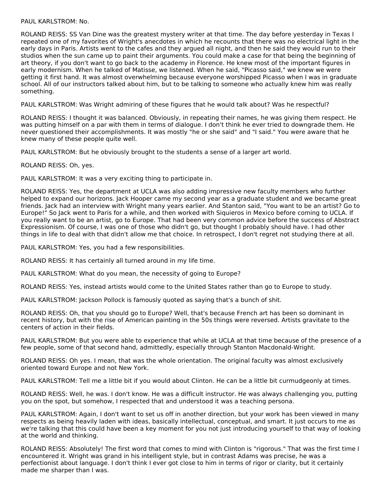#### PAUL KARLSTROM: No.

ROLAND REISS: SS Van Dine was the greatest mystery writer at that time. The day before yesterday in Texas I repeated one of my favorites of Wright's anecdotes in which he recounts that there was no electrical light in the early days in Paris. Artists went to the cafes and they argued all night, and then he said they would run to their studios when the sun came up to paint their arguments. You could make a case for that being the beginning of art theory, if you don't want to go back to the academy in Florence. He knew most of the important figures in early modernism. When he talked of Matisse, we listened. When he said, "Picasso said," we knew we were getting it first hand. It was almost overwhelming because everyone worshipped Picasso when I was in graduate school. All of our instructors talked about him, but to be talking to someone who actually knew him was really something.

PAUL KARLSTROM: Was Wright admiring of these figures that he would talk about? Was he respectful?

ROLAND REISS: I thought it was balanced. Obviously, in repeating their names, he was giving them respect. He was putting himself on a par with them in terms of dialogue. I don't think he ever tried to downgrade them. He never questioned their accomplishments. It was mostly "he or she said" and "I said." You were aware that he knew many of these people quite well.

PAUL KARLSTROM: But he obviously brought to the students a sense of a larger art world.

ROLAND REISS: Oh, yes.

PAUL KARLSTROM: It was a very exciting thing to participate in.

ROLAND REISS: Yes, the department at UCLA was also adding impressive new faculty members who further helped to expand our horizons. Jack Hooper came my second year as a graduate student and we became great friends. Jack had an interview with Wright many years earlier. And Stanton said, "You want to be an artist? Go to Europe!" So Jack went to Paris for a while, and then worked with Siquieros in Mexico before coming to UCLA. If you really want to be an artist, go to Europe. That had been very common advice before the success of Abstract Expressionism. Of course, I was one of those who didn't go, but thought I probably should have. I had other things in life to deal with that didn't allow me that choice. In retrospect, I don't regret not studying there at all.

PAUL KARLSTROM: Yes, you had a few responsibilities.

ROLAND REISS: It has certainly all turned around in my life time.

PAUL KARLSTROM: What do you mean, the necessity of going to Europe?

ROLAND REISS: Yes, instead artists would come to the United States rather than go to Europe to study.

PAUL KARLSTROM: Jackson Pollock is famously quoted as saying that's a bunch of shit.

ROLAND REISS: Oh, that you should go to Europe? Well, that's because French art has been so dominant in recent history, but with the rise of American painting in the 50s things were reversed. Artists gravitate to the centers of action in their fields.

PAUL KARLSTROM: But you were able to experience that while at UCLA at that time because of the presence of a few people, some of that second hand, admittedly, especially through Stanton Macdonald-Wright.

ROLAND REISS: Oh yes. I mean, that was the whole orientation. The original faculty was almost exclusively oriented toward Europe and not New York.

PAUL KARLSTROM: Tell me a little bit if you would about Clinton. He can be a little bit curmudgeonly at times.

ROLAND REISS: Well, he was. I don't know. He was a difficult instructor. He was always challenging you, putting you on the spot, but somehow, I respected that and understood it was a teaching persona.

PAUL KARLSTROM: Again, I don't want to set us off in another direction, but your work has been viewed in many respects as being heavily laden with ideas, basically intellectual, conceptual, and smart. It just occurs to me as we're talking that this could have been a key moment for you not just introducing yourself to that way of looking at the world and thinking.

ROLAND REISS: Absolutely! The first word that comes to mind with Clinton is "rigorous." That was the first time I encountered it. Wright was grand in his intelligent style, but in contrast Adams was precise, he was a perfectionist about language. I don't think I ever got close to him in terms of rigor or clarity, but it certainly made me sharper than I was.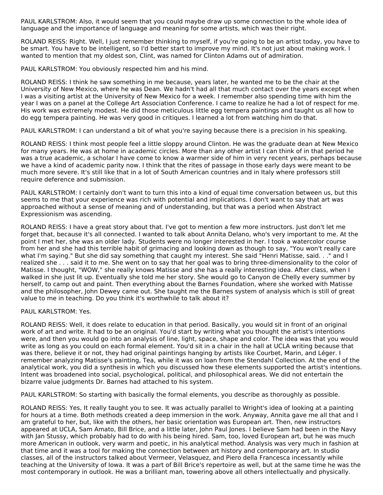PAUL KARLSTROM: Also, it would seem that you could maybe draw up some connection to the whole idea of language and the importance of language and meaning for some artists, which was their right.

ROLAND REISS: Right. Well, I just remember thinking to myself, if you're going to be an artist today, you have to be smart. You have to be intelligent, so I'd better start to improve my mind. It's not just about making work. I wanted to mention that my oldest son, Clint, was named for Clinton Adams out of admiration.

PAUL KARLSTROM: You obviously respected him and his mind.

ROLAND REISS: I think he saw something in me because, years later, he wanted me to be the chair at the University of New Mexico, where he was Dean. We hadn't had all that much contact over the years except when I was a visiting artist at the University of New Mexico for a week. I remember also spending time with him the year I was on a panel at the College Art Association Conference. I came to realize he had a lot of respect for me. His work was extremely modest. He did those meticulous little egg tempera paintings and taught us all how to do egg tempera painting. He was very good in critiques. I learned a lot from watching him do that.

PAUL KARLSTROM: I can understand a bit of what you're saying because there is a precision in his speaking.

ROLAND REISS: I think most people feel a little sloppy around Clinton. He was the graduate dean at New Mexico for many years. He was at home in academic circles. More than any other artist I can think of in that period he was a true academic, a scholar I have come to know a warmer side of him in very recent years, perhaps because we have a kind of academic parity now. I think that the rites of passage in those early days were meant to be much more severe. It's still like that in a lot of South American countries and in Italy where professors still require deference and submission.

PAUL KARLSTROM: I certainly don't want to turn this into a kind of equal time conversation between us, but this seems to me that your experience was rich with potential and implications. I don't want to say that art was approached without a sense of meaning and of understanding, but that was a period when Abstract Expressionism was ascending.

ROLAND REISS: I have a great story about that. I've got to mention a few more instructors. Just don't let me forget that, because it's all connected. I wanted to talk about Annita Delano, who's very important to me. At the point I met her, she was an older lady. Students were no longer interested in her. I took a watercolor course from her and she had this terrible habit of grimacing and looking down as though to say, "You won't really care what I'm saying." But she did say something that caught my interest. She said "Henri Matisse, said. . ." and I realized she . . . said it to me. She went on to say that her goal was to bring three-dimensionality to the color of Matisse. I thought, "WOW," she really knows Matisse and she has a really interesting idea. After class, when I walked in she just lit up. Eventually she told me her story. She would go to Canyon de Chelly every summer by herself, to camp out and paint. Then everything about the Barnes Foundation, where she worked with Matisse and the philosopher, John Dewey came out. She taught me the Barnes system of analysis which is still of great value to me in teaching. Do you think it's worthwhile to talk about it?

PAUL KARLSTROM: Yes.

ROLAND REISS: Well, it does relate to education in that period. Basically, you would sit in front of an original work of art and write. It had to be an original. You'd start by writing what you thought the artist's intentions were, and then you would go into an analysis of line, light, space, shape and color. The idea was that you would write as long as you could on each formal element. You'd sit in a chair in the hall at UCLA writing because that was there, believe it or not, they had original paintings hanging by artists like Courbet, Marin, and Léger. I remember analyzing Matisse's painting, Tea, while it was on loan from the Stendahl Collection. At the end of the analytical work, you did a synthesis in which you discussed how these elements supported the artist's intentions. Intent was broadened into social, psychological, political, and philosophical areas. We did not entertain the bizarre value judgments Dr. Barnes had attached to his system.

PAUL KARLSTROM: So starting with basically the formal elements, you describe as thoroughly as possible.

ROLAND REISS: Yes, It really taught you to see. It was actually parallel to Wright's idea of looking at a painting for hours at a time. Both methods created a deep immersion in the work. Anyway, Annita gave me all that and I am grateful to her, but, like with the others, her basic orientation was European art. Then, new instructors appeared at UCLA, Sam Amato, Bill Brice, and a little later, John Paul Jones. I believe Sam had been in the Navy with Jan Stussy, which probably had to do with his being hired. Sam, too, loved European art, but he was much more American in outlook, very warm and poetic, in his analytical method. Analysis was very much in fashion at that time and it was a tool for making the connection between art history and contemporary art. In studio classes, all of the instructors talked about Vermeer, Velasquez, and Piero della Francesca incessantly while teaching at the University of Iowa. It was a part of Bill Brice's repertoire as well, but at the same time he was the most contemporary in outlook. He was a brilliant man, towering above all others intellectually and physically.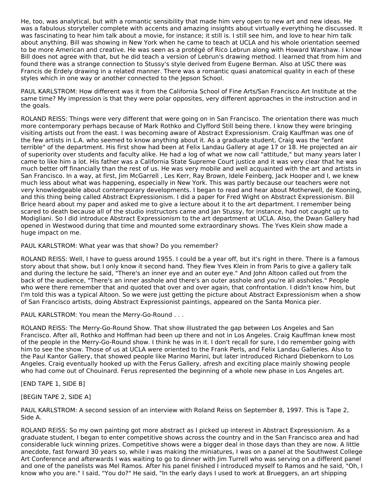He, too, was analytical, but with a romantic sensibility that made him very open to new art and new ideas. He was a fabulous storyteller complete with accents and amazing insights about virtually everything he discussed. It was fascinating to hear him talk about a movie, for instance; it still is. I still see him, and love to hear him talk about anything. Bill was showing in New York when he came to teach at UCLA and his whole orientation seemed to be more American and creative. He was seen as a protégé of Rico Lebrun along with Howard Warshaw. I know Bill does not agree with that, but he did teach a version of Lebrun's drawing method. I learned that from him and found there was a strange connection to Stussy's style derived from Eugene Berman. Also at USC there was Francis de Erdely drawing in a related manner. There was a romantic quasi anatomical quality in each of these styles which in one way or another connected to the Jepson School.

PAUL KARLSTROM: How different was it from the California School of Fine Arts/San Francisco Art Institute at the same time? My impression is that they were polar opposites, very different approaches in the instruction and in the goals.

ROLAND REISS: Things were very different that were going on in San Francisco. The orientation there was much more contemporary perhaps because of Mark Rothko and Clyfford Still being there. I know they were bringing visiting artists out from the east. I was becoming aware of Abstract Expressionism. Craig Kauffman was one of the few artists in L.A. who seemed to know anything about it. As a graduate student, Craig was the "enfant terrible" of the department. His first show had been at Felix Landau Gallery at age 17 or 18. He projected an air of superiority over students and faculty alike. He had a log of what we now call "attitude," but many years later I came to like him a lot. His father was a California State Supreme Court justice and it was very clear that he was much better off financially than the rest of us. He was very mobile and well acquainted with the art and artists in San Francisco. In a way, at first, Jim McGarrell , Les Kerr, Ray Brown, Idele Feinberg, Jack Hooper and I, we knew much less about what was happening, especially in New York. This was partly because our teachers were not very knowledgeable about contemporary developments. I began to read and hear about Motherwell, de Kooning, and this thing being called Abstract Expressionism. I did a paper for Fred Wight on Abstract Expressionism. Bill Brice heard about my paper and asked me to give a lecture about it to the art department. I remember being scared to death because all of the studio instructors came and Jan Stussy, for instance, had not caught up to Modigliani. So I did introduce Abstract Expressionism to the art department at UCLA. Also, the Dwan Gallery had opened in Westwood during that time and mounted some extraordinary shows. The Yves Klein show made a huge impact on me.

PAUL KARLSTROM: What year was that show? Do you remember?

ROLAND REISS: Well, I have to guess around 1955. I could be a year off, but it's right in there. There is a famous story about that show, but I only know it second hand. They flew Yves Klein in from Paris to give a gallery talk and during the lecture he said, "There's an inner eye and an outer eye." And John Altoon called out from the back of the audience, "There's an inner asshole and there's an outer asshole and you're all assholes." People who were there remember that and quoted that over and over again, that confrontation. I didn't know him, but I'm told this was a typical Altoon. So we were just getting the picture about Abstract Expressionism when a show of San Francisco artists, doing Abstract Expressionist paintings, appeared on the Santa Monica pier.

PAUL KARLSTROM: You mean the Merry-Go-Round . . .

ROLAND REISS: The Merry-Go-Round Show. That show illustrated the gap between Los Angeles and San Francisco. After all, Rothko and Hoffman had been up there and not in Los Angeles. Craig Kauffman knew most of the people in the Merry-Go-Round show. I think he was in it. I don't recall for sure, I do remember going with him to see the show. Those of us at UCLA were oriented to the Frank Perls, and Felix Landau Galleries. Also to the Paul Kantor Gallery, that showed people like Marino Marini, but later introduced Richard Diebenkorn to Los Angeles. Craig eventually hooked up with the Ferus Gallery, afresh and exciting place mainly showing people who had come out of Chouinard. Ferus represented the beginning of a whole new phase in Los Angeles art.

[END TAPE 1, SIDE B]

[BEGIN TAPE 2, SIDE A]

PAUL KARLSTROM: A second session of an interview with Roland Reiss on September 8, 1997. This is Tape 2, Side A.

ROLAND REISS: So my own painting got more abstract as I picked up interest in Abstract Expressionism. As a graduate student, I began to enter competitive shows across the country and in the San Francisco area and had considerable luck winning prizes. Competitive shows were a bigger deal in those days than they are now. A little anecdote, fast forward 30 years so, while I was making the miniatures, I was on a panel at the Southwest College Art Conference and afterwards I was waiting to go to dinner with Jim Turrell who was serving on a different panel and one of the panelists was Mel Ramos. After his panel finished I introduced myself to Ramos and he said, "Oh, I know who you are." I said, "You do?" He said, "In the early days I used to work at Brueggers, an art shipping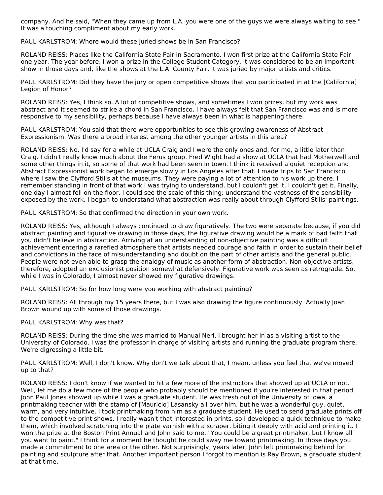company. And he said, "When they came up from L.A. you were one of the guys we were always waiting to see." It was a touching compliment about my early work.

PAUL KARLSTROM: Where would these juried shows be in San Francisco?

ROLAND REISS: Places like the California State Fair in Sacramento. I won first prize at the California State Fair one year. The year before, I won a prize in the College Student Category. It was considered to be an important show in those days and, like the shows at the L.A. County Fair, it was juried by major artists and critics.

PAUL KARLSTROM: Did they have the jury or open competitive shows that you participated in at the [California] Legion of Honor?

ROLAND REISS: Yes, I think so. A lot of competitive shows, and sometimes I won prizes, but my work was abstract and it seemed to strike a chord in San Francisco. I have always felt that San Francisco was and is more responsive to my sensibility, perhaps because I have always been in what is happening there.

PAUL KARLSTROM: You said that there were opportunities to see this growing awareness of Abstract Expressionism. Was there a broad interest among the other younger artists in this area?

ROLAND REISS: No. I'd say for a while at UCLA Craig and I were the only ones and, for me, a little later than Craig. I didn't really know much about the Ferus group. Fred Wight had a show at UCLA that had Motherwell and some other things in it, so some of that work had been seen in town. I think it received a quiet reception and Abstract Expressionist work began to emerge slowly in Los Angeles after that. I made trips to San Francisco where I saw the Clyfford Stills at the museums. They were paying a lot of attention to his work up there. I remember standing in front of that work I was trying to understand, but I couldn't get it. I couldn't get it. Finally, one day I almost fell on the floor. I could see the scale of this thing; understand the vastness of the sensibility exposed by the work. I began to understand what abstraction was really about through Clyfford Stills' paintings.

PAUL KARLSTROM: So that confirmed the direction in your own work.

ROLAND REISS: Yes, although I always continued to draw figuratively. The two were separate because, if you did abstract painting and figurative drawing in those days, the figurative drawing would be a mark of bad faith that you didn't believe in abstraction. Arriving at an understanding of non-objective painting was a difficult achievement entering a rarefied atmosphere that artists needed courage and faith in order to sustain their belief and convictions in the face of misunderstanding and doubt on the part of other artists and the general public. People were not even able to grasp the analogy of music as another form of abstraction. Non-objective artists, therefore, adopted an exclusionist position somewhat defensively. Figurative work was seen as retrograde. So, while I was in Colorado, I almost never showed my figurative drawings.

PAUL KARLSTROM: So for how long were you working with abstract painting?

ROLAND REISS: All through my 15 years there, but I was also drawing the figure continuously. Actually Joan Brown wound up with some of those drawings.

PAUL KARLSTROM: Why was that?

ROLAND REISS: During the time she was married to Manual Neri, I brought her in as a visiting artist to the University of Colorado. I was the professor in charge of visiting artists and running the graduate program there. We're digressing a little bit.

PAUL KARLSTROM: Well, I don't know. Why don't we talk about that, I mean, unless you feel that we've moved up to that?

ROLAND REISS: I don't know if we wanted to hit a few more of the instructors that showed up at UCLA or not. Well, let me do a few more of the people who probably should be mentioned if you're interested in that period. John Paul Jones showed up while I was a graduate student. He was fresh out of the University of Iowa, a printmaking teacher with the stamp of [Mauricio] Lasansky all over him, but he was a wonderful guy, quiet, warm, and very intuitive. I took printmaking from him as a graduate student. He used to send graduate prints off to the competitive print shows. I really wasn't that interested in prints, so I developed a quick technique to make them, which involved scratching into the plate varnish with a scraper, biting it deeply with acid and printing it. I won the prize at the Boston Print Annual and John said to me, "You could be a great printmaker, but I know all you want to paint." I think for a moment he thought he could sway me toward printmaking. In those days you made a commitment to one area or the other. Not surprisingly, years later, John left printmaking behind for painting and sculpture after that. Another important person I forgot to mention is Ray Brown, a graduate student at that time.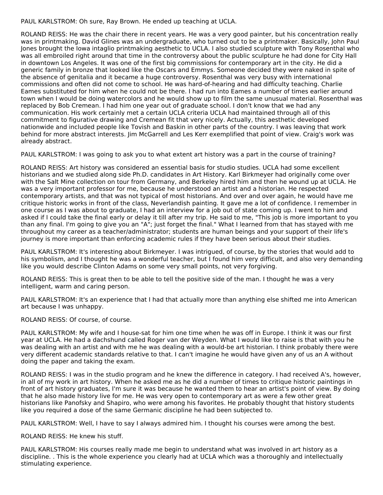PAUL KARLSTROM: Oh sure, Ray Brown. He ended up teaching at UCLA.

ROLAND REISS: He was the chair there in recent years. He was a very good painter, but his concentration really was in printmaking. David Glines was an undergraduate, who turned out to be a printmaker. Basically, John Paul Jones brought the Iowa intaglio printmaking aesthetic to UCLA. I also studied sculpture with Tony Rosenthal who was all embroiled right around that time in the controversy about the public sculpture he had done for City Hall in downtown Los Angeles. It was one of the first big commissions for contemporary art in the city. He did a generic family in bronze that looked like the Oscars and Emmys. Someone decided they were naked in spite of the absence of genitalia and it became a huge controversy. Rosenthal was very busy with international commissions and often did not come to school. He was hard-of-hearing and had difficulty teaching. Charlie Eames substituted for him when he could not be there. I had run into Eames a number of times earlier around town when I would be doing watercolors and he would show up to film the same unusual material. Rosenthal was replaced by Bob Cremean. I had him one year out of graduate school. I don't know that we had any communication. His work certainly met a certain UCLA criteria UCLA had maintained through all of this commitment to figurative drawing and Cremean fit that very nicely. Actually, this aesthetic developed nationwide and included people like Tovish and Baskin in other parts of the country. I was leaving that work behind for more abstract interests. Jim McGarrell and Les Kerr exemplified that point of view. Craig's work was already abstract.

PAUL KARLSTROM: I was going to ask you to what extent art history was a part in the course of training?

ROLAND REISS: Art history was considered an essential basis for studio studies. UCLA had some excellent historians and we studied along side Ph.D. candidates in Art History. Karl Birkmeyer had originally come over with the Salt Mine collection on tour from Germany, and Berkeley hired him and then he wound up at UCLA. He was a very important professor for me, because he understood an artist and a historian. He respected contemporary artists, and that was not typical of most historians. And over and over again, he would have me critique historic works in front of the class, Neverlandish painting. It gave me a lot of confidence. I remember in one course as I was about to graduate, I had an interview for a job out of state coming up. I went to him and asked if I could take the final early or delay it till after my trip. He said to me, "This job is more important to you than any final. I'm going to give you an "A"; just forget the final." What I learned from that has stayed with me throughout my career as a teacher/administrator; students are human beings and your support of their life's journey is more important than enforcing academic rules if they have been serious about their studies.

PAUL KARLSTROM: It's interesting about Birkmeyer. I was intrigued, of course, by the stories that would add to his symbolism, and I thought he was a wonderful teacher, but I found him very difficult, and also very demanding like you would describe Clinton Adams on some very small points, not very forgiving.

ROLAND REISS: This is great then to be able to tell the positive side of the man. I thought he was a very intelligent, warm and caring person.

PAUL KARLSTROM: It's an experience that I had that actually more than anything else shifted me into American art because I was unhappy.

ROLAND REISS: Of course, of course.

PAUL KARLSTROM: My wife and I house-sat for him one time when he was off in Europe. I think it was our first year at UCLA. He had a dachshund called Roger van der Weyden. What I would like to raise is that with you he was dealing with an artist and with me he was dealing with a would-be art historian. I think probably there were very different academic standards relative to that. I can't imagine he would have given any of us an A without doing the paper and taking the exam.

ROLAND REISS: I was in the studio program and he knew the difference in category. I had received A's, however, in all of my work in art history. When he asked me as he did a number of times to critique historic paintings in front of art history graduates, I'm sure it was because he wanted them to hear an artist's point of view. By doing that he also made history live for me. He was very open to contemporary art as were a few other great historians like Panofsky and Shapiro, who were among his favorites. He probably thought that history students like you required a dose of the same Germanic discipline he had been subjected to.

PAUL KARLSTROM: Well, I have to say I always admired him. I thought his courses were among the best.

ROLAND REISS: He knew his stuff.

PAUL KARLSTROM: His courses really made me begin to understand what was involved in art history as a discipline. . This is the whole experience you clearly had at UCLA which was a thoroughly and intellectually stimulating experience.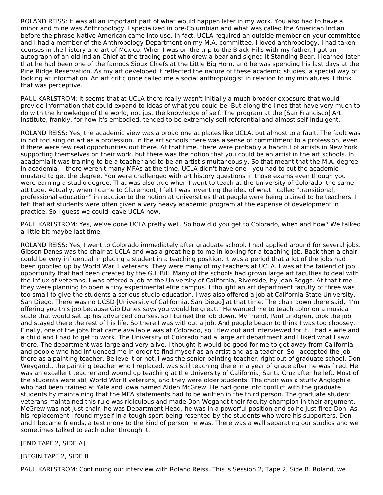ROLAND REISS: It was all an important part of what would happen later in my work. You also had to have a minor and mine was Anthropology. I specialized in pre-Columbian and what was called the American Indian before the phrase Native American came into use. In fact, UCLA required an outside member on your committee and I had a member of the Anthropology Department on my M.A. committee. I loved anthropology. I had taken courses in the history and art of Mexico. When I was on the trip to the Black Hills with my father, I got an autograph of an old Indian Chief at the trading post who drew a bear and signed it Standing Bear. I learned later that he had been one of the famous Sioux Chiefs at the Little Big Horn, and he was spending his last days at the Pine Ridge Reservation. As my art developed it reflected the nature of these academic studies, a special way of looking at information. An art critic once called me a social anthropologist in relation to my miniatures. I think that was perceptive.

PAUL KARLSTROM: It seems that at UCLA there really wasn't initially a much broader exposure that would provide information that could expand to ideas of what you could be. But along the lines that have very much to do with the knowledge of the world, not just the knowledge of self. The program at the [San Francisco] Art Institute, frankly, for how it's embodied, tended to be extremely self-referential and almost self-indulgent.

ROLAND REISS: Yes, the academic view was a broad one at places like UCLA, but almost to a fault. The fault was in not focusing on art as a profession. In the art schools there was a sense of commitment to a profession, even if there were few real opportunities out there. At that time, there were probably a handful of artists in New York supporting themselves on their work, but there was the notion that you could be an artist in the art schools. In academia it was training to be a teacher and to be an artist simultaneously. So that meant that the M.A. degree in academia -- there weren't many MFAs at the time, UCLA didn't have one - you had to cut the academic mustard to get the degree. You were challenged with art history questions in those exams even though you were earning a studio degree. That was also true when I went to teach at the University of Colorado, the same attitude. Actually, when I came to Claremont, I felt I was inventing the idea of what I called "transitional, professional education" in reaction to the notion at universities that people were being trained to be teachers. I felt that art students were often given a very heavy academic program at the expense of development in practice. So I guess we could leave UCLA now.

PAUL KARLSTROM: Yes, we've done UCLA pretty well. So how did you get to Colorado, when and how? We talked a little bit maybe last time.

ROLAND REISS: Yes, I went to Colorado immediately after graduate school. I had applied around for several jobs. Gibson Danes was the chair at UCLA and was a great help to me in looking for a teaching job. Back then a chair could be very influential in placing a student in a teaching position. It was a period that a lot of the jobs had been gobbled up by World War II veterans. They were many of my teachers at UCLA. I was at the tailend of job opportunity that had been created by the G.I. Bill. Many of the schools had grown large art faculties to deal with the influx of veterans. I was offered a job at the University of California, Riverside, by Jean Boggs. At that time they were planning to open a tiny experimental elite campus. I thought an art department faculty of three was too small to give the students a serious studio education. I was also offered a job at California State University, San Diego. There was no UCSD [University of California, San Diego] at that time. The chair down there said, "I'm offering you this job because Gib Danes says you would be great." He wanted me to teach color on a musical scale that would set up his advanced courses, so I turned the job down. My friend, Paul Lindgren, took the job and stayed there the rest of his life. So there I was without a job. And people began to think I was too choosey. Finally, one of the jobs that came available was at Colorado, so I flew out and interviewed for it. I had a wife and a child and I had to get to work. The University of Colorado had a large art department and I liked what I saw there. The department was large and very alive. I thought it would be good for me to get away from California and people who had influenced me in order to find myself as an artist and as a teacher. So I accepted the job there as a painting teacher. Believe it or not, I was the senior painting teacher, right out of graduate school. Don Weygandt, the painting teacher who I replaced, was still teaching there in a year of grace after he was fired. He was an excellent teacher and wound up teaching at the University of California, Santa Cruz after he left. Most of the students were still World War II veterans, and they were older students. The chair was a stuffy Anglophile who had been trained at Yale and Iowa named Alden McGrew. He had gone into conflict with the graduate students by maintaining that the MFA statements had to be written in the third person. The graduate student veterans maintained this rule was ridiculous and made Don Wegandt their faculty champion in their argument. McGrew was not just chair, he was Department Head, he was in a powerful position and so he just fired Don. As his replacement I found myself in a tough sport being resented by the students who were his supporters. Don and I became friends, a testimony to the kind of person he was. There was a wall separating our studios and we sometimes talked to each other through it.

[END TAPE 2, SIDE A]

[BEGIN TAPE 2, SIDE B]

PAUL KARLSTROM: Continuing our interview with Roland Reiss. This is Session 2, Tape 2, Side B. Roland, we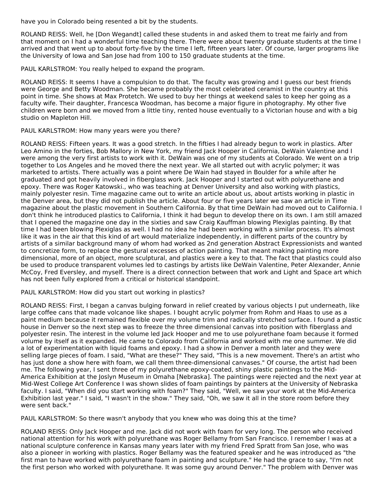have you in Colorado being resented a bit by the students.

ROLAND REISS: Well, he [Don Wegandt] called these students in and asked them to treat me fairly and from that moment on I had a wonderful time teaching there. There were about twenty graduate students at the time I arrived and that went up to about forty-five by the time I left, fifteen years later. Of course, larger programs like the University of Iowa and San Jose had from 100 to 150 graduate students at the time.

PAUL KARLSTROM: You really helped to expand the program.

ROLAND REISS: It seems I have a compulsion to do that. The faculty was growing and I guess our best friends were George and Betty Woodman. She became probably the most celebrated ceramist in the country at this point in time. She shows at Max Protetch. We used to buy her things at weekend sales to keep her going as a faculty wife. Their daughter, Francesca Woodman, has become a major figure in photography. My other five children were born and we moved from a little tiny, rented house eventually to a Victorian house and with a big studio on Mapleton Hill.

## PAUL KARLSTROM: How many years were you there?

ROLAND REISS: Fifteen years. It was a good stretch. In the fifties I had already begun to work in plastics. After Leo Amino in the forties, Bob Mallory in New York, my friend Jack Hooper in California, DeWain Valentine and I were among the very first artists to work with it. DeWain was one of my students at Colorado. We went on a trip together to Los Angeles and he moved there the next year. We all started out with acrylic polymer; it was marketed to artists. There actually was a point where De Wain had stayed in Boulder for a while after he graduated and got heavily involved in fiberglass work. Jack Hooper and I started out with polyurethane and epoxy. There was Roger Katowski., who was teaching at Denver University and also working with plastics, mainly polyester resin. Time magazine came out to write an article about us, about artists working in plastic in the Denver area, but they did not publish the article. About four or five years later we saw an article in Time magazine about the plastic movement in Southern California. By that time DeWain had moved out to California. I don't think he introduced plastics to California, I think it had begun to develop there on its own. I am still amazed that I opened the magazine one day in the sixties and saw Craig Kauffman blowing Plexiglas painting. By that time I had been blowing Plexiglas as well. I had no idea he had been working with a similar process. It's almost like it was in the air that this kind of art would materialize independently, in different parts of the country by artists of a similar background many of whom had worked as 2nd generation Abstract Expressionists and wanted to concretize form, to replace the gestural excesses of action painting. That meant making painting more dimensional, more of an object, more sculptural, and plastics were a key to that. The fact that plastics could also be used to produce transparent volumes led to castings by artists like DeWain Valentine, Peter Alexander, Annie McCoy, Fred Eversley, and myself. There is a direct connection between that work and Light and Space art which has not been fully explored from a critical or historical standpoint.

## PAUL KARLSTROM: How did you start out working in plastics?

ROLAND REISS: First, I began a canvas bulging forward in relief created by various objects I put underneath, like large coffee cans that made volcanoe like shapes. I bought acrylic polymer from Rohm and Haas to use as a paint medium because it remained flexible over my volume trim and radically stretched surface. I found a plastic house in Denver so the next step was to freeze the three dimensional canvas into position with fiberglass and polyester resin. The interest in the volume led Jack Hooper and me to use polyurethane foam because it formed volume by itself as it expanded. He came to Colorado from California and worked with me one summer. We did a lot of experimentation with liquid foams and epoxy. I had a show in Denver a month later and they were selling large pieces of foam. I said, "What are these?" They said, "This is a new movement. There's an artist who has just done a show here with foam, we call them three-dimensional canvases." Of course, the artist had been me. The following year, I sent three of my polyurethane epoxy-coated, shiny plastic paintings to the Mid-America Exhibition at the Joslyn Museum in Omaha [Nebraska]. The paintings were rejected and the next year at Mid-West College Art Conference I was shown slides of foam paintings by painters at the University of Nebraska faculty. I said, "When did you start working with foam?" They said, "Well, we saw your work at the Mid-America Exhibition last year." I said, "I wasn't in the show." They said, "Oh, we saw it all in the store room before they were sent back."

PAUL KARLSTROM: So there wasn't anybody that you knew who was doing this at the time?

ROLAND REISS: Only Jack Hooper and me. Jack did not work with foam for very long. The person who received national attention for his work with polyurethane was Roger Bellamy from San Francisco. I remember I was at a national sculpture conference in Kansas many years later with my friend Fred Spratt from San Jose, who was also a pioneer in working with plastics. Roger Bellamy was the featured speaker and he was introduced as "the first man to have worked with polyurethane foam in painting and sculpture." He had the grace to say, "I'm not the first person who worked with polyurethane. It was some guy around Denver." The problem with Denver was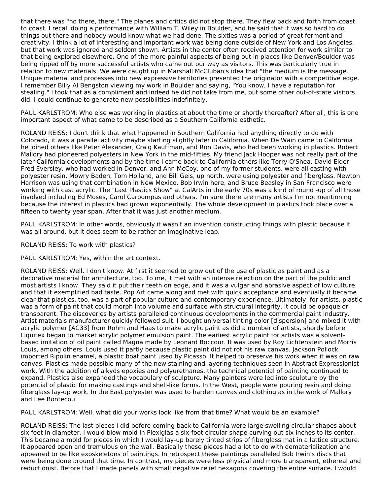that there was "no there, there." The planes and critics did not stop there. They flew back and forth from coast to coast. I recall doing a performance with William T. Wiley in Boulder, and he said that it was so hard to do things out there and nobody would know what we had done. The sixties was a period of great ferment and creativity. I think a lot of interesting and important work was being done outside of New York and Los Angeles, but that work was ignored and seldom shown. Artists in the center often received attention for work similar to that being explored elsewhere. One of the more painful aspects of being out in places like Denver/Boulder was being ripped off by more successful artists who came out our way as visitors. This was particularly true in relation to new materials. We were caught up in Marshall McCluban's idea that "the medium is the message." Unique material and processes into new expressive territories presented the originator with a competitive edge. I remember Billy Al Bengston viewing my work in Boulder and saying, "You know, I have a reputation for stealing." I took that as a compliment and indeed he did not take from me, but some other out-of-state visitors did. I could continue to generate new possibilities indefinitely.

PAUL KARLSTROM: Who else was working in plastics at about the time or shortly thereafter? After all, this is one important aspect of what came to be described as a Southern California esthetic.

ROLAND REISS: I don't think that what happened in Southern California had anything directly to do with Colorado, it was a parallel activity maybe starting slightly later in California. When De Wain came to California he joined others like Peter Alexander, Craig Kauffman, and Ron Davis, who had been working in plastics. Robert Mallory had pioneered polyesters in New York in the mid-fifties. My friend Jack Hooper was not really part of the later California developments and by the time I came back to California others like Terry O'Shea, David Elder, Fred Eversley, who had worked in Denver, and Ann McCoy, one of my former students, were all casting with polyester resin. Mowry Baden, Tom Holland, and Bill Geis, up north, were using polyester and fiberglass. Newton Harrison was using that combination in New Mexico. Bob Irwin here, and Bruce Beasley in San Francisco were working with cast acrylic. The "Last Plastics Show" at CalArts in the early 70s was a kind of round -up of all those involved including Ed Moses, Carol Caroompas and others. I'm sure there are many artists I'm not mentioning because the interest in plastics had grown exponentially. The whole development in plastics took place over a fifteen to twenty year span. After that it was just another medium.

PAUL KARLSTROM: In other words, obviously it wasn't an invention constructing things with plastic because it was all around, but it does seem to be rather an imaginative leap.

ROLAND REISS: To work with plastics?

PAUL KARLSTROM: Yes, within the art context.

ROLAND REISS: Well, I don't know. At first it seemed to grow out of the use of plastic as paint and as a decorative material for architecture, too. To me, it met with an intense rejection on the part of the public and most artists I know. They said it put their teeth on edge, and it was a vulgar and abrasive aspect of low culture and that it exemplified bad taste. Pop Art came along and met with quick acceptance and eventually it became clear that plastics, too, was a part of popular culture and contemporary experience. Ultimately, for artists, plastic was a form of paint that could morph into volume and surface with structural integrity, it could be opaque or transparent. The discoveries by artists paralleled continuous developments in the commercial paint industry. Artist materials manufacturer quickly followed suit. I bought universal tinting color [dispersion] and mixed it with acrylic polymer [AC33] from Rohm and Haas to make acrylic paint as did a number of artists, shortly before Liquitex began to market acrylic polymer emulsion paint. The earliest acrylic paint for artists was a solventbased imitation of oil paint called Magna made by Leonard Boccour. It was used by Roy Lichtenstein and Morris Louis, among others. Louis used it partly because plastic paint did not rot his raw canvas. Jackson Pollock imported Ripolin enamel, a plastic boat paint used by Picasso. It helped to preserve his work when it was on raw canvas. Plastics made possible many of the new staining and layering techniques seen in Abstract Expressionist work. With the addition of alkyds epoxies and polyurethanes, the technical potential of painting continued to expand. Plastics also expanded the vocabulary of sculpture. Many painters were led into sculpture by the potential of plastic for making castings and shell-like forms. In the West, people were pouring resin and doing fiberglass lay-up work. In the East polyester was used to harden canvas and clothing as in the work of Mallory and Lee Bontecou.

PAUL KARLSTROM: Well, what did your works look like from that time? What would be an example?

ROLAND REISS: The last pieces I did before coming back to California were large swelling circular shapes about six feet in diameter. I would blow mold in Plexiglas a six-foot circular shape curving out six inches to its center. This became a mold for pieces in which I would lay-up barely tinted strips of fiberglass mat in a lattice structure. It appeared open and tremulous on the wall. Basically these pieces had a lot to do with dematerialization and appeared to be like exoskeletons of paintings. In retrospect these paintings paralleled Bob Irwin's discs that were being done around that time. In contrast, my pieces were less physical and more transparent, ethereal and reductionist. Before that I made panels with small negative relief hexagons covering the entire surface. I would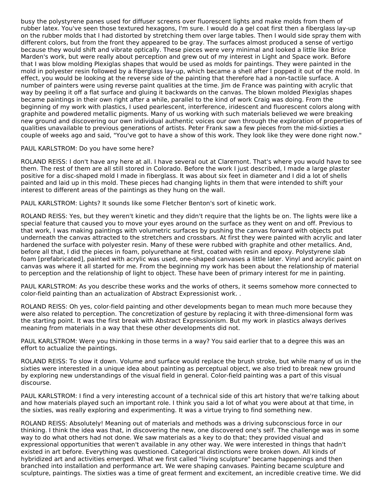busy the polystyrene panes used for diffuser screens over fluorescent lights and make molds from them of rubber latex. You've seen those textured hexagons, I'm sure. I would do a gel coat first then a fiberglass lay-up on the rubber molds that I had distorted by stretching them over large tables. Then I would side spray them with different colors, but from the front they appeared to be gray. The surfaces almost produced a sense of vertigo because they would shift and vibrate optically. These pieces were very minimal and looked a little like Brice Marden's work, but were really about perception and grew out of my interest in Light and Space work. Before that I was blow molding Plexiglas shapes that would be used as molds for paintings. They were painted in the mold in polyester resin followed by a fiberglass lay-up, which became a shell after I popped it out of the mold. In effect, you would be looking at the reverse side of the painting that therefore had a non-tactile surface. A number of painters were using reverse paint qualities at the time. Jim de France was painting with acrylic that way by peeling it off a flat surface and gluing it backwards on the canvas. The blown molded Plexiglas shapes became paintings in their own right after a while, parallel to the kind of work Craig was doing. From the beginning of my work with plastics, I used pearlescent, interference, iridescent and fluorescent colors along with graphite and powdered metallic pigments. Many of us working with such materials believed we were breaking new ground and discovering our own individual authentic voices our own through the exploration of properties of qualities unavailable to previous generations of artists. Peter Frank saw a few pieces from the mid-sixties a couple of weeks ago and said, "You've got to have a show of this work. They look like they were done right now."

### PAUL KARLSTROM: Do you have some here?

ROLAND REISS: I don't have any here at all. I have several out at Claremont. That's where you would have to see them. The rest of them are all still stored in Colorado. Before the work I just described, I made a large plaster positive for a disc-shaped mold I made in fiberglass. It was about six feet in diameter and I did a lot of shells painted and laid up in this mold. These pieces had changing lights in them that were intended to shift your interest to different areas of the paintings as they hung on the wall.

PAUL KARLSTROM: Lights? It sounds like some Fletcher Benton's sort of kinetic work.

ROLAND REISS: Yes, but they weren't kinetic and they didn't require that the lights be on. The lights were like a special feature that caused you to move your eyes around on the surface as they went on and off. Previous to that work, I was making paintings with volumetric surfaces by pushing the canvas forward with objects put underneath the canvas attracted to the stretchers and crossbars. At first they were painted with acrylic and later hardened the surface with polyester resin. Many of these were rubbed with graphite and other metallics. And, before all that, I did the pieces in foam, polyurethane at first, coated with resin and epoxy. Polystyrene slab foam [prefabricated], painted with acrylic was used, one-shaped canvases a little later. Vinyl and acrylic paint on canvas was where it all started for me. From the beginning my work has been about the relationship of material to perception and the relationship of light to object. These have been of primary interest for me in painting.

PAUL KARLSTROM: As you describe these works and the works of others, it seems somehow more connected to color-field painting than an actualization of Abstract Expressionist work. .

ROLAND REISS: Oh yes, color-field painting and other developments began to mean much more because they were also related to perception. The concretization of gesture by replacing it with three-dimensional form was the starting point. It was the first break with Abstract Expressionism. But my work in plastics always derives meaning from materials in a way that these other developments did not.

PAUL KARLSTROM: Were you thinking in those terms in a way? You said earlier that to a degree this was an effort to actualize the paintings.

ROLAND REISS: To slow it down. Volume and surface would replace the brush stroke, but while many of us in the sixties were interested in a unique idea about painting as perceptual object, we also tried to break new ground by exploring new understandings of the visual field in general. Color-field painting was a part of this visual discourse.

PAUL KARLSTROM: I find a very interesting account of a technical side of this art history that we're talking about and how materials played such an important role. I think you said a lot of what you were about at that time, in the sixties, was really exploring and experimenting. It was a virtue trying to find something new.

ROLAND REISS: Absolutely! Meaning out of materials and methods was a driving subconscious force in our thinking. I think the idea was that, in discovering the new, one discovered one's self. The challenge was in some way to do what others had not done. We saw materials as a key to do that; they provided visual and expressional opportunities that weren't available in any other way. We were interested in things that hadn't existed in art before. Everything was questioned. Categorical distinctions were broken down. All kinds of hybridized art and activities emerged. What we first called "living sculpture" became happenings and then branched into installation and performance art. We were shaping canvases. Painting became sculpture and sculpture, paintings. The sixties was a time of great ferment and excitement, an incredible creative time. We did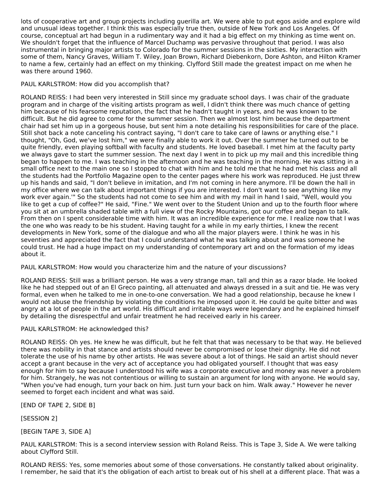lots of cooperative art and group projects including guerilla art. We were able to put egos aside and explore wild and unusual ideas together. I think this was especially true then, outside of New York and Los Angeles. Of course, conceptual art had begun in a rudimentary way and it had a big effect on my thinking as time went on. We shouldn't forget that the influence of Marcel Duchamp was pervasive throughout that period. I was also instrumental in bringing major artists to Colorado for the summer sessions in the sixties. My interaction with some of them, Nancy Graves, William T. Wiley, Joan Brown, Richard Diebenkorn, Dore Ashton, and Hilton Kramer to name a few, certainly had an effect on my thinking. Clyfford Still made the greatest impact on me when he was there around 1960.

## PAUL KARLSTROM: How did you accomplish that?

ROLAND REISS: I had been very interested in Still since my graduate school days. I was chair of the graduate program and in charge of the visiting artists program as well, I didn't think there was much chance of getting him because of his fearsome reputation, the fact that he hadn't taught in years, and he was known to be difficult. But he did agree to come for the summer session. Then we almost lost him because the department chair had set him up in a gorgeous house, but sent him a note detailing his responsibilities for care of the place. Still shot back a note canceling his contract saying, "I don't care to take care of lawns or anything else." I thought, "Oh, God, we've lost him," we were finally able to work it out. Over the summer he turned out to be quite friendly, even playing softball with faculty and students. He loved baseball. I met him at the faculty party we always gave to start the summer session. The next day I went in to pick up my mail and this incredible thing began to happen to me. I was teaching in the afternoon and he was teaching in the morning. He was sitting in a small office next to the main one so I stopped to chat with him and he told me that he had met his class and all the students had the Portfolio Magazine open to the center pages where his work was reproduced. He just threw up his hands and said, "I don't believe in imitation, and I'm not coming in here anymore. I'll be down the hall in my office where we can talk about important things if you are interested. I don't want to see anything like my work ever again.'" So the students had not come to see him and with my mail in hand I said, "Well, would you like to get a cup of coffee?" He said, "Fine." We went over to the Student Union and up to the fourth floor where you sit at an umbrella shaded table with a full view of the Rocky Mountains, got our coffee and began to talk. From then on I spent considerable time with him. It was an incredible experience for me. I realize now that I was the one who was ready to be his student. Having taught for a while in my early thirties, I knew the recent developments in New York, some of the dialogue and who all the major players were. I think he was in his seventies and appreciated the fact that I could understand what he was talking about and was someone he could trust. He had a huge impact on my understanding of contemporary art and on the formation of my ideas about it.

PAUL KARLSTROM: How would you characterize him and the nature of your discussions?

ROLAND REISS: Still was a brilliant person. He was a very strange man, tall and thin as a razor blade. He looked like he had stepped out of an El Greco painting, all attenuated and always dressed in a suit and tie. He was very formal, even when he talked to me in one-to-one conversation. We had a good relationship, because he knew I would not abuse the friendship by violating the conditions he imposed upon it. He could be quite bitter and was angry at a lot of people in the art world. His difficult and irritable ways were legendary and he explained himself by detailing the disrespectful and unfair treatment he had received early in his career.

## PAUL KARLSTROM: He acknowledged this?

ROLAND REISS: Oh yes. He knew he was difficult, but he felt that that was necessary to be that way. He believed there was nobility in that stance and artists should never be compromised or lose their dignity. He did not tolerate the use of his name by other artists. He was severe about a lot of things. He said an artist should never accept a grant because in the very act of acceptance you had obligated yourself. I thought that was easy enough for him to say because I understood his wife was a corporate executive and money was never a problem for him. Strangely, he was not contentious or willing to sustain an argument for long with anyone. He would say, "When you've had enough, turn your back on him. Just turn your back on him. Walk away." However he never seemed to forget each incident and what was said.

[END OF TAPE 2, SIDE B]

[SESSION 2]

[BEGIN TAPE 3, SIDE A]

PAUL KARLSTROM: This is a second interview session with Roland Reiss. This is Tape 3, Side A. We were talking about Clyfford Still.

ROLAND REISS: Yes, some memories about some of those conversations. He constantly talked about originality. I remember, he said that it's the obligation of each artist to break out of his shell at a different place. That was a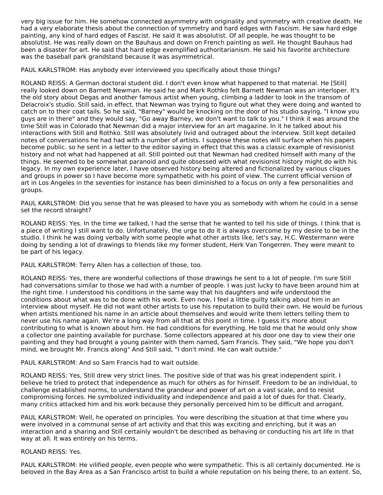very big issue for him. He somehow connected asymmetry with originality and symmetry with creative death. He had a very elaborate thesis about the connection of symmetry and hard edges with Fascism. He saw hard edge painting, any kind of hard edges of Fascist. He said it was absolutist. Of all people, he was thought to be absolutist. He was really down on the Bauhaus and down on French painting as well. He thought Bauhaus had been a disaster for art. He said that hard edge exemplified authoritarianism. He said his favorite architecture was the baseball park grandstand because it was asymmetrical.

PAUL KARLSTROM: Has anybody ever interviewed you specifically about those things?

ROLAND REISS: A German doctoral student did. I don't even know what happened to that material. He [Still] really looked down on Barnett Newman. He said he and Mark Rothko felt Barnett Newman was an interloper. It's the old story about Degas and another famous artist when young, climbing a ladder to look in the transom of Delacroix's studio. Still said, in effect, that Newman was trying to figure out what they were doing and wanted to catch on to their coat tails. So he said, "Barney" would be knocking on the door of his studio saying, "I know you guys are in there" and they would say, "Go away Barney, we don't want to talk to you." I think it was around the time Still was in Colorado that Newman did a major interview for an art magazine. In it he talked about his interactions with Still and Rothko. Still was absolutely livid and outraged about the interview. Still kept detailed notes of conversations he had had with a number of artists. I suppose these notes will surface when his papers become public. so he sent in a letter to the editor saying in effect that this was a classic example of revisionist history and not what had happened at all. Still pointed out that Newman had credited himself with many of the things. He seemed to be somewhat paranoid and quite obsessed with what revisionist history might do with his legacy. In my own experience later, I have observed history being altered and fictionalized by various cliques and groups in power so I have become more sympathetic with his point of view. The current official version of art in Los Angeles in the seventies for instance has been diminished to a focus on only a few personalities and groups.

PAUL KARLSTROM: Did you sense that he was pleased to have you as somebody with whom he could in a sense set the record straight?

ROLAND REISS: Yes. In the time we talked, I had the sense that he wanted to tell his side of things. I think that is a piece of writing I still want to do. Unfortunately, the urge to do it is always overcome by my desire to be in the studio. I think he was doing verbally with some people what other artists like, let's say, H.C. Westermann were doing by sending a lot of drawings to friends like my former student, Herk Van Tongerren. They were meant to be part of his legacy.

PAUL KARLSTROM: Terry Allen has a collection of those, too.

ROLAND REISS: Yes, there are wonderful collections of those drawings he sent to a lot of people. I'm sure Still had conversations similar to those we had with a number of people. I was just lucky to have been around him at the right time. I understood his conditions in the same way that his daughters and wife understood the conditions about what was to be done with his work. Even now, I feel a little guilty talking about him in an interview about myself. He did not want other artists to use his reputation to build their own. He would be furious when artists mentioned his name in an article about themselves and would write them letters telling them to never use his name again. We're a long way from all that at this point in time. I guess it's more about contributing to what is known about him. He had conditions for everything. He told me that he would only show a collector one painting available for purchase. Some collectors appeared at his door one day to view their one painting and they had brought a young painter with them named, Sam Francis. They said, "We hope you don't mind, we brought Mr. Francis along" And Still said, "I don't mind. He can wait outside."

## PAUL KARLSTROM: And so Sam Francis had to wait outside.

ROLAND REISS: Yes, Still drew very strict lines. The positive side of that was his great independent spirit. I believe he tried to protect that independence as much for others as for himself. Freedom to be an individual, to challenge established norms, to understand the grandeur and power of art on a vast scale, and to resist compromising forces. He symbolized individuality and independence and paid a lot of dues for that. Clearly, many critics attacked him and his work because they personally perceived him to be difficult and arrogant.

PAUL KARLSTROM: Well, he operated on principles. You were describing the situation at that time where you were involved in a communal sense of art activity and that this was exciting and enriching, but it was an interaction and a sharing and Still certainly wouldn't be described as behaving or conducting his art life in that way at all. It was entirely on his terms.

### ROLAND REISS: Yes.

PAUL KARLSTROM: He vilified people, even people who were sympathetic. This is all certainly documented. He is beloved in the Bay Area as a San Francisco artist to build a whole reputation on his being there, to an extent. So,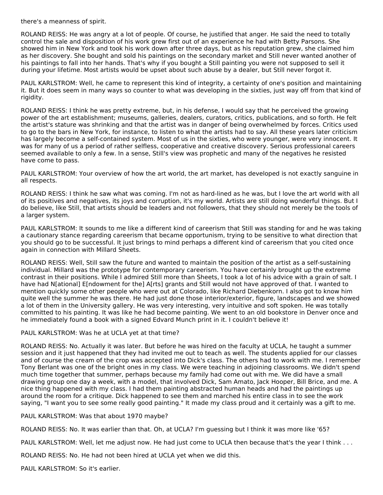there's a meanness of spirit.

ROLAND REISS: He was angry at a lot of people. Of course, he justified that anger. He said the need to totally control the sale and disposition of his work grew first out of an experience he had with Betty Parsons. She showed him in New York and took his work down after three days, but as his reputation grew, she claimed him as her discovery. She bought and sold his paintings on the secondary market and Still never wanted another of his paintings to fall into her hands. That's why if you bought a Still painting you were not supposed to sell it during your lifetime. Most artists would be upset about such abuse by a dealer, but Still never forgot it.

PAUL KARLSTROM: Well, he came to represent this kind of integrity, a certainty of one's position and maintaining it. But it does seem in many ways so counter to what was developing in the sixties, just way off from that kind of rigidity.

ROLAND REISS: I think he was pretty extreme, but, in his defense, I would say that he perceived the growing power of the art establishment; museums, galleries, dealers, curators, critics, publications, and so forth. He felt the artist's stature was shrinking and that the artist was in danger of being overwhelmed by forces. Critics used to go to the bars in New York, for instance, to listen to what the artists had to say. All these years later criticism has largely become a self-contained system. Most of us in the sixties, who were younger, were very innocent. It was for many of us a period of rather selfless, cooperative and creative discovery. Serious professional careers seemed available to only a few. In a sense, Still's view was prophetic and many of the negatives he resisted have come to pass.

PAUL KARLSTROM: Your overview of how the art world, the art market, has developed is not exactly sanguine in all respects.

ROLAND REISS: I think he saw what was coming. I'm not as hard-lined as he was, but I love the art world with all of its positives and negatives, its joys and corruption, it's my world. Artists are still doing wonderful things. But I do believe, like Still, that artists should be leaders and not followers, that they should not merely be the tools of a larger system.

PAUL KARLSTROM: It sounds to me like a different kind of careerism that Still was standing for and he was taking a cautionary stance regarding careerism that became opportunism, trying to be sensitive to what direction that you should go to be successful. It just brings to mind perhaps a different kind of careerism that you cited once again in connection with Millard Sheets.

ROLAND REISS: Well, Still saw the future and wanted to maintain the position of the artist as a self-sustaining individual. Millard was the prototype for contemporary careerism. You have certainly brought up the extreme contrast in their positions. While I admired Still more than Sheets, I took a lot of his advice with a grain of salt. I have had N[ational] E[ndowment for the] A[rts] grants and Still would not have approved of that. I wanted to mention quickly some other people who were out at Colorado, like Richard Diebenkorn. I also got to know him quite well the summer he was there. He had just done those interior/exterior, figure, landscapes and we showed a lot of them in the University gallery. He was very interesting, very intuitive and soft spoken. He was totally committed to his painting. It was like he had become painting. We went to an old bookstore in Denver once and he immediately found a book with a signed Edvard Munch print in it. I couldn't believe it!

### PAUL KARLSTROM: Was he at UCLA yet at that time?

ROLAND REISS: No. Actually it was later. But before he was hired on the faculty at UCLA, he taught a summer session and it just happened that they had invited me out to teach as well. The students applied for our classes and of course the cream of the crop was accepted into Dick's class. The others had to work with me. I remember Tony Berlant was one of the bright ones in my class. We were teaching in adjoining classrooms. We didn't spend much time together that summer, perhaps because my family had come out with me. We did have a small drawing group one day a week, with a model, that involved Dick, Sam Amato, Jack Hooper, Bill Brice, and me. A nice thing happened with my class. I had them painting abstracted human heads and had the paintings up around the room for a critique. Dick happened to see them and marched his entire class in to see the work saying, "I want you to see some really good painting." It made my class proud and it certainly was a gift to me.

PAUL KARLSTROM: Was that about 1970 maybe?

ROLAND REISS: No. It was earlier than that. Oh, at UCLA? I'm guessing but I think it was more like '65?

PAUL KARLSTROM: Well, let me adjust now. He had just come to UCLA then because that's the year I think . . .

ROLAND REISS: No. He had not been hired at UCLA yet when we did this.

PAUL KARLSTROM: So it's earlier.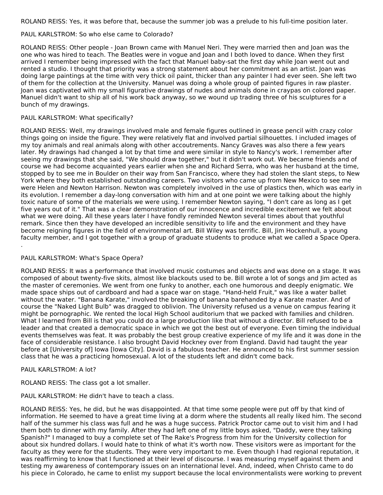ROLAND REISS: Yes, it was before that, because the summer job was a prelude to his full-time position later.

## PAUL KARLSTROM: So who else came to Colorado?

ROLAND REISS: Other people - Joan Brown came with Manuel Neri. They were married then and Joan was the one who was hired to teach. The Beatles were in vogue and Joan and I both loved to dance. When they first arrived I remember being impressed with the fact that Manuel baby-sat the first day while Joan went out and rented a studio. I thought that priority was a strong statement about her commitment as an artist. Joan was doing large paintings at the time with very thick oil paint, thicker than any painter I had ever seen. She left two of them for the collection at the University. Manuel was doing a whole group of painted figures in raw plaster. Joan was captivated with my small figurative drawings of nudes and animals done in craypas on colored paper. Manuel didn't want to ship all of his work back anyway, so we wound up trading three of his sculptures for a bunch of my drawings.

## PAUL KARLSTROM: What specifically?

ROLAND REISS: Well, my drawings involved male and female figures outlined in grease pencil with crazy color things going on inside the figure. They were relatively flat and involved partial silhouettes. I included images of my toy animals and real animals along with other accoutrements. Nancy Graves was also there a few years later. My drawings had changed a lot by that time and were similar in style to Nancy's work. I remember after seeing my drawings that she said, "We should draw together," but it didn't work out. We became friends and of course we had become acquainted years earlier when she and Richard Serra, who was her husband at the time, stopped by to see me in Boulder on their way from San Francisco, where they had stolen the slant steps, to New York where they both established outstanding careers. Two visitors who came up from New Mexico to see me were Helen and Newton Harrison. Newton was completely involved in the use of plastics then, which was early in its evolution. I remember a day-long conversation with him and at one point we were talking about the highly toxic nature of some of the materials we were using. I remember Newton saying, "I don't care as long as I get five years out of it." That was a clear demonstration of our innocence and incredible excitement we felt about what we were doing. All these years later I have fondly reminded Newton several times about that youthful remark. Since then they have developed an incredible sensitivity to life and the environment and they have become reigning figures in the field of environmental art. Bill Wiley was terrific. Bill, Jim Hockenhull, a young faculty member, and I got together with a group of graduate students to produce what we called a Space Opera. .

## PAUL KARLSTROM: What's Space Opera?

ROLAND REISS: It was a performance that involved music costumes and objects and was done on a stage. It was composed of about twenty-five skits, almost like blackouts used to be. Bill wrote a lot of songs and Jim acted as the master of ceremonies. We went from one funky to another, each one humorous and deeply enigmatic. We made space ships out of cardboard and had a space war on stage. "Hand-held Fruit," was like a water ballet without the water. "Banana Karate," involved the breaking of banana barehanded by a Karate master. And of course the "Naked Light Bulb" was dragged to oblivion. The University refused us a venue on campus fearing it might be pornographic. We rented the local High School auditorium that we packed with families and children. What I learned from Bill is that you could do a large production like that without a director. Bill refused to be a leader and that created a democratic space in which we got the best out of everyone. Even timing the individual events themselves was feat. It was probably the best group creative experience of my life and it was done in the face of considerable resistance. I also brought David Hockney over from England. David had taught the year before at [University of] Iowa [Iowa City]. David is a fabulous teacher. He announced to his first summer session class that he was a practicing homosexual. A lot of the students left and didn't come back.

### PAUL KARLSTROM: A lot?

ROLAND REISS: The class got a lot smaller.

PAUL KARLSTROM: He didn't have to teach a class.

ROLAND REISS: Yes, he did, but he was disappointed. At that time some people were put off by that kind of information. He seemed to have a great time living at a dorm where the students all really liked him. The second half of the summer his class was full and he was a huge success. Patrick Proctor came out to visit him and I had them both to dinner with my family. After they had left one of my little boys asked, "Daddy, were they talking Spanish?" I managed to buy a complete set of The Rake's Progress from him for the University collection for about six hundred dollars. I would hate to think of what it's worth now. These visitors were as important for the faculty as they were for the students. They were very important to me. Even though I had regional reputation, it was reaffirming to know that I functioned at their level of discourse. I was measuring myself against them and testing my awareness of contemporary issues on an international level. And, indeed, when Christo came to do his piece in Colorado, he came to enlist my support because the local environmentalists were working to prevent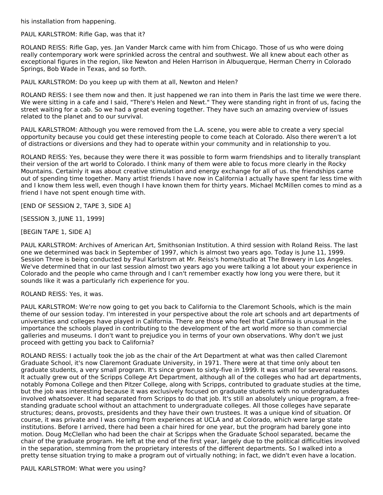his installation from happening.

PAUL KARLSTROM: Rifle Gap, was that it?

ROLAND REISS: Rifle Gap, yes. Jan Vander Marck came with him from Chicago. Those of us who were doing really contemporary work were sprinkled across the central and southwest. We all knew about each other as exceptional figures in the region, like Newton and Helen Harrison in Albuquerque, Herman Cherry in Colorado Springs, Bob Wade in Texas, and so forth.

PAUL KARLSTROM: Do you keep up with them at all, Newton and Helen?

ROLAND REISS: I see them now and then. It just happened we ran into them in Paris the last time we were there. We were sitting in a cafe and I said, "There's Helen and Newt." They were standing right in front of us, facing the street waiting for a cab. So we had a great evening together. They have such an amazing overview of issues related to the planet and to our survival.

PAUL KARLSTROM: Although you were removed from the L.A. scene, you were able to create a very special opportunity because you could get these interesting people to come teach at Colorado. Also there weren't a lot of distractions or diversions and they had to operate within your community and in relationship to you.

ROLAND REISS: Yes, because they were there it was possible to form warm friendships and to literally transplant their version of the art world to Colorado. I think many of them were able to focus more clearly in the Rocky Mountains. Certainly it was about creative stimulation and energy exchange for all of us. the friendships came out of spending time together. Many artist friends I have now in California I actually have spent far less time with and I know them less well, even though I have known them for thirty years. Michael McMillen comes to mind as a friend I have not spent enough time with.

[END OF SESSION 2, TAPE 3, SIDE A]

[SESSION 3, JUNE 11, 1999]

[BEGIN TAPE 1, SIDE A]

PAUL KARLSTROM: Archives of American Art, Smithsonian Institution. A third session with Roland Reiss. The last one we determined was back in September of 1997, which is almost two years ago. Today is June 11, 1999. Session Three is being conducted by Paul Karlstrom at Mr. Reiss's home/studio at The Brewery in Los Angeles. We've determined that in our last session almost two years ago you were talking a lot about your experience in Colorado and the people who came through and I can't remember exactly how long you were there, but it sounds like it was a particularly rich experience for you.

ROLAND REISS: Yes, it was.

PAUL KARLSTROM: We're now going to get you back to California to the Claremont Schools, which is the main theme of our session today. I'm interested in your perspective about the role art schools and art departments of universities and colleges have played in California. There are those who feel that California is unusual in the importance the schools played in contributing to the development of the art world more so than commercial galleries and museums. I don't want to prejudice you in terms of your own observations. Why don't we just proceed with getting you back to California?

ROLAND REISS: I actually took the job as the chair of the Art Department at what was then called Claremont Graduate School, it's now Claremont Graduate University, in 1971. There were at that time only about ten graduate students, a very small program. It's since grown to sixty-five in 1999. It was small for several reasons. It actually grew out of the Scripps College Art Department, although all of the colleges who had art departments, notably Pomona College and then Pitzer College, along with Scripps, contributed to graduate studies at the time, but the job was interesting because it was exclusively focused on graduate students with no undergraduates involved whatsoever. It had separated from Scripps to do that job. It's still an absolutely unique program, a freestanding graduate school without an attachment to undergraduate colleges. All those colleges have separate structures; deans, provosts, presidents and they have their own trustees. It was a unique kind of situation. Of course, it was private and I was coming from experiences at UCLA and at Colorado, which were large state institutions. Before I arrived, there had been a chair hired for one year, but the program had barely gone into motion. Doug McClellan who had been the chair at Scripps when the Graduate School separated, became the chair of the graduate program. He left at the end of the first year, largely due to the political difficulties involved in the separation, stemming from the proprietary interests of the different departments. So I walked into a pretty tense situation trying to make a program out of virtually nothing; in fact, we didn't even have a location.

PAUL KARLSTROM: What were you using?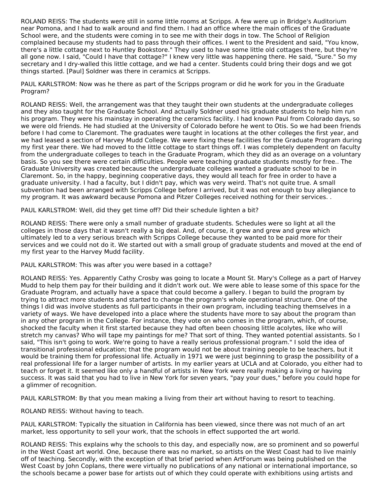ROLAND REISS: The students were still in some little rooms at Scripps. A few were up in Bridge's Auditorium near Pomona, and I had to walk around and find them. I had an office where the main offices of the Graduate School were, and the students were coming in to see me with their dogs in tow. The School of Religion complained because my students had to pass through their offices. I went to the President and said, "You know, there's a little cottage next to Huntley Bookstore." They used to have some little old cottages there, but they're all gone now. I said, "Could I have that cottage?" I knew very little was happening there. He said, "Sure." So my secretary and I dry-walled this little cottage, and we had a center. Students could bring their dogs and we got things started. [Paul] Soldner was there in ceramics at Scripps.

PAUL KARLSTROM: Now was he there as part of the Scripps program or did he work for you in the Graduate Program?

ROLAND REISS: Well, the arrangement was that they taught their own students at the undergraduate colleges and they also taught for the Graduate School. And actually Soldner used his graduate students to help him run his program. They were his mainstay in operating the ceramics facility. I had known Paul from Colorado days, so we were old friends. He had studied at the University of Colorado before he went to Otis. So we had been friends before I had come to Claremont. The graduates were taught in locations at the other colleges the first year, and we had leased a section of Harvey Mudd College. We were fixing these facilities for the Graduate Program during my first year there. We had moved to the little cottage to start things off. I was completely dependent on faculty from the undergraduate colleges to teach in the Graduate Program, which they did as an overage on a voluntary basis. So you see there were certain difficulties. People were teaching graduate students mostly for free.. The Graduate University was created because the undergraduate colleges wanted a graduate school to be in Claremont. So, in the happy, beginning cooperative days, they would all teach for free in order to have a graduate university. I had a faculty, but I didn't pay, which was very weird. That's not quite true. A small subvention had been arranged with Scripps College before I arrived, but it was not enough to buy allegiance to my program. It was awkward because Pomona and Pitzer Colleges received nothing for their services. .

PAUL KARLSTROM: Well, did they get time off? Did their schedule lighten a bit?

ROLAND REISS: There were only a small number of graduate students. Schedules were so light at all the colleges in those days that it wasn't really a big deal. And, of course, it grew and grew and grew which ultimately led to a very serious breach with Scripps College because they wanted to be paid more for their services and we could not do it. We started out with a small group of graduate students and moved at the end of my first year to the Harvey Mudd facility.

PAUL KARLSTROM: This was after you were based in a cottage?

ROLAND REISS: Yes. Apparently Cathy Crosby was going to locate a Mount St. Mary's College as a part of Harvey Mudd to help them pay for their building and it didn't work out. We were able to lease some of this space for the Graduate Program, and actually have a space that could become a gallery. I began to build the program by trying to attract more students and started to change the program's whole operational structure. One of the things I did was involve students as full participants in their own program, including teaching themselves in a variety of ways. We have developed into a place where the students have more to say about the program than in any other program in the College. For instance, they vote on who comes in the program, which, of course, shocked the faculty when it first started because they had often been choosing little acolytes, like who will stretch my canvas? Who will tape my paintings for me? That sort of thing. They wanted potential assistants. So I said, "This isn't going to work. We're going to have a really serious professional program." I sold the idea of transitional professional education; that the program would not be about training people to be teachers, but it would be training them for professional life. Actually in 1971 we were just beginning to grasp the possibility of a real professional life for a larger number of artists. In my earlier years at UCLA and at Colorado, you either had to teach or forget it. It seemed like only a handful of artists in New York were really making a living or having success. It was said that you had to live in New York for seven years, "pay your dues," before you could hope for a glimmer of recognition.

PAUL KARLSTROM: By that you mean making a living from their art without having to resort to teaching.

ROLAND REISS: Without having to teach.

PAUL KARLSTROM: Typically the situation in California has been viewed, since there was not much of an art market, less opportunity to sell your work, that the schools in effect supported the art world.

ROLAND REISS: This explains why the schools to this day, and especially now, are so prominent and so powerful in the West Coast art world. One, because there was no market, so artists on the West Coast had to live mainly off of teaching. Secondly, with the exception of that brief period when ArtForum was being published on the West Coast by John Coplans, there were virtually no publications of any national or international importance, so the schools became a power base for artists out of which they could operate with exhibitions using artists and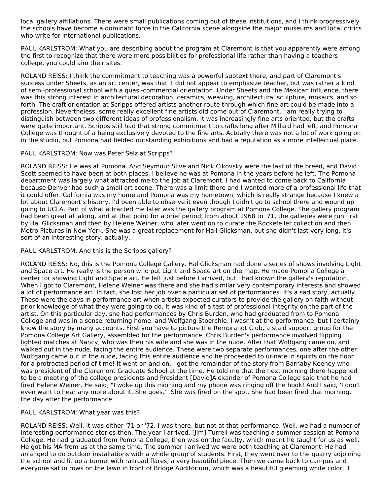local gallery affiliations. There were small publications coming out of these institutions, and I think progressively the schools have become a dominant force in the California scene alongside the major museums and local critics who write for international publications.

PAUL KARLSTROM: What you are describing about the program at Claremont is that you apparently were among the first to recognize that there were more possibilities for professional life rather than having a teachers college, you could aim their sites.

ROLAND REISS: I think the commitment to teaching was a powerful subtext there, and part of Claremont's success under Sheets, as an art center, was that it did not appear to emphasize teacher, but was rather a kind of semi-professional school with a quasi-commercial orientation. Under Sheets and the Mexican influence, there was this strong interest in architectural decoration, ceramics, weaving, architectural sculpture, mosaics, and so forth. The craft orientation at Scripps offered artists another route through which fine art could be made into a profession. Nevertheless, some really excellent fine artists did come out of Claremont. I am really trying to distinguish between two different ideas of professionalism. It was increasingly fine arts oriented, but the crafts were quite important. Scripps still had that strong commitment to crafts long after Millard had left, and Pomona College was thought of a being exclusively devoted to the fine arts. Actually there was not a lot of work going on in the studio, but Pomona had fielded outstanding exhibitions and had a reputation as a more intellectual place.

## PAUL KARLSTROM: Now was Peter Selz at Scripps?

ROLAND REISS: He was at Pomona. And Seymour Slive and Nick Cikovsky were the last of the breed, and David Scott seemed to have been at both places. I believe he was at Pomona in the years before he left. The Pomona department was largely what attracted me to the job at Claremont. I had wanted to come back to California because Denver had such a small art scene. There was a limit there and I wanted more of a professional life that it could offer. California was my home and Pomona was my hometown, which is really strange because I knew a lot about Claremont's history. I'd been able to observe it even though I didn't go to school there and wound up going to UCLA. Part of what attracted me later was the gallery program at Pomona College. The gallery program had been great all along, and at that point for a brief period, from about 1968 to '71, the galleries were run first by Hal Glicksman and then by Helene Weiner, who later went on to curate the Rockefeller collection and then Metro Pictures in New York. She was a great replacement for Hall Glicksman, but she didn't last very long. It's sort of an interesting story, actually.

## PAUL KARLSTROM: And this is the Scripps gallery?

ROLAND REISS: No, this is the Pomona College Gallery. Hal Glicksman had done a series of shows involving Light and Space art. He really is the person who put Light and Space art on the map. He made Pomona College a center for showing Light and Space art. He left just before I arrived, but I had known the gallery's reputation. When I got to Claremont, Helene Weiner was there and she had similar very contemporary interests and showed a lot of performance art. In fact, she lost her job over a particular set of performances. It's a sad story, actually. These were the days in performance art when artists expected curators to provide the gallery on faith without prior knowledge of what they were going to do. It was kind of a test of professional integrity on the part of the artist. On this particular day, she had performances by Chris Burden, who had graduated from to Pomona College and was in a sense returning home, and Wolfgang Stoerchle. I wasn't at the performance, but I certainly know the story by many accounts. First you have to picture the Rembrandt Club, a staid support group for the Pomona College Art Gallery, assembled for the performance. Chris Burden's performance involved flipping lighted matches at Nancy, who was then his wife and she was in the nude. After that Wolfgang came on, and walked out in the nude, facing the entire audience. These were two separate performances, one after the other. Wolfgang came out in the nude, facing this entire audience and he proceeded to urinate in squirts on the floor for a protracted period of time! It went on and on. I got the remainder of the story from Barnaby Keeney who was president of the Claremont Graduate School at the time. He told me that the next morning there happened to be a meeting of the college presidents and President [David]Alexander of Pomona College said that he had fired Helene Weiner. He said, "I woke up this morning and my phone was ringing off the hook! And I said, 'I don't even want to hear any more about it. She goes.'" She was fired on the spot. She had been fired that morning, the day after the performance.

## PAUL KARLSTROM: What year was this?

ROLAND REISS: Well, it was either '71 or '72. I was there, but not at that performance. Well, we had a number of interesting performance stories then. The year I arrived, [Jim] Turrell was teaching a summer session at Pomona College. He had graduated from Pomona College, then was on the faculty, which meant he taught for us as well. He got his MA from us at the same time. The summer I arrived we were both teaching at Claremont. He had arranged to do outdoor installations with a whole group of students. First, they went over to the quarry adjoining the school and lit up a tunnel with railroad flares, a very beautiful piece. Then we came back to campus and everyone sat in rows on the lawn in front of Bridge Auditorium, which was a beautiful gleaming white color. It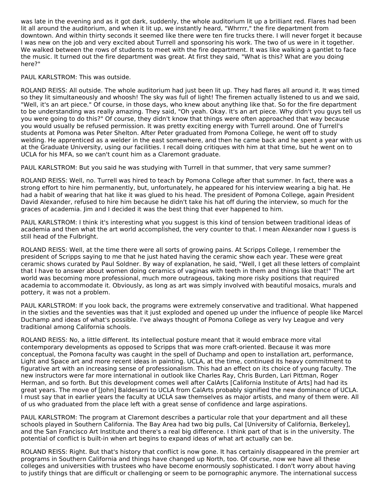was late in the evening and as it got dark, suddenly, the whole auditorium lit up a brilliant red. Flares had been lit all around the auditorium, and when it lit up, we instantly heard, "Whrrrr," the fire department from downtown. And within thirty seconds it seemed like there were ten fire trucks there. I will never forget it because I was new on the job and very excited about Turrell and sponsoring his work. The two of us were in it together. We walked between the rows of students to meet with the fire department. It was like walking a gantlet to face the music. It turned out the fire department was great. At first they said, "What is this? What are you doing here?"

PAUL KARLSTROM: This was outside.

ROLAND REISS: All outside. The whole auditorium had just been lit up. They had flares all around it. It was timed so they lit simultaneously and whoosh! The sky was full of light! The firemen actually listened to us and we said, "Well, it's an art piece." Of course, in those days, who knew about anything like that. So for the fire department to be understanding was really amazing. They said, "Oh yeah. Okay. It's an art piece. Why didn't you guys tell us you were going to do this?" Of course, they didn't know that things were often approached that way because you would usually be refused permission. It was pretty exciting energy with Turrell around. One of Turrell's students at Pomona was Peter Shelton. After Peter graduated from Pomona College, he went off to study welding. He apprenticed as a welder in the east somewhere, and then he came back and he spent a year with us at the Graduate University, using our facilities. I recall doing critiques with him at that time, but he went on to UCLA for his MFA, so we can't count him as a Claremont graduate.

PAUL KARLSTROM: But you said he was studying with Turrell in that summer, that very same summer?

ROLAND REISS: Well, no. Turrell was hired to teach by Pomona College after that summer. In fact, there was a strong effort to hire him permanently, but, unfortunately, he appeared for his interview wearing a big hat. He had a habit of wearing that hat like it was glued to his head. The president of Pomona College, again President David Alexander, refused to hire him because he didn't take his hat off during the interview, so much for the graces of academia. Jim and I decided it was the best thing that ever happened to him.

PAUL KARLSTROM: I think it's interesting what you suggest is this kind of tension between traditional ideas of academia and then what the art world accomplished, the very counter to that. I mean Alexander now I guess is still head of the Fulbright.

ROLAND REISS: Well, at the time there were all sorts of growing pains. At Scripps College, I remember the president of Scripps saying to me that he just hated having the ceramic show each year. These were great ceramic shows curated by Paul Soldner. By way of explanation, he said, "Well, I get all these letters of complaint that I have to answer about women doing ceramics of vaginas with teeth in them and things like that!" The art world was becoming more professional, much more outrageous, taking more risky positions that required academia to accommodate it. Obviously, as long as art was simply involved with beautiful mosaics, murals and pottery, it was not a problem.

PAUL KARLSTROM: If you look back, the programs were extremely conservative and traditional. What happened in the sixties and the seventies was that it just exploded and opened up under the influence of people like Marcel Duchamp and ideas of what's possible. I've always thought of Pomona College as very Ivy League and very traditional among California schools.

ROLAND REISS: No, a little different. Its intellectual posture meant that it would embrace more vital contemporary developments as opposed to Scripps that was more craft-oriented. Because it was more conceptual, the Pomona faculty was caught in the spell of Duchamp and open to installation art, performance, Light and Space art and more recent ideas in painting. UCLA, at the time, continued its heavy commitment to figurative art with an increasing sense of professionalism. This had an effect on its choice of young faculty. The new instructors were far more international in outlook like Charles Ray, Chris Burden, Lari Pittman, Roger Herman, and so forth. But this development comes well after CalArts [California Institute of Arts] had had its great years. The move of [John] Baldesarri to UCLA from CalArts probably signified the new dominance of UCLA. I must say that in earlier years the faculty at UCLA saw themselves as major artists, and many of them were. All of us who graduated from the place left with a great sense of confidence and large aspirations.

PAUL KARLSTROM: The program at Claremont describes a particular role that your department and all these schools played in Southern California. The Bay Area had two big pulls, Cal [University of California, Berkeley], and the San Francisco Art Institute and there's a real big difference. I think part of that is in the university. The potential of conflict is built-in when art begins to expand ideas of what art actually can be.

ROLAND REISS: Right. But that's history that conflict is now gone. It has certainly disappeared in the premier art programs in Southern California and things have changed up North, too. Of course, now we have all these colleges and universities with trustees who have become enormously sophisticated. I don't worry about having to justify things that are difficult or challenging or seem to be pornographic anymore. The international success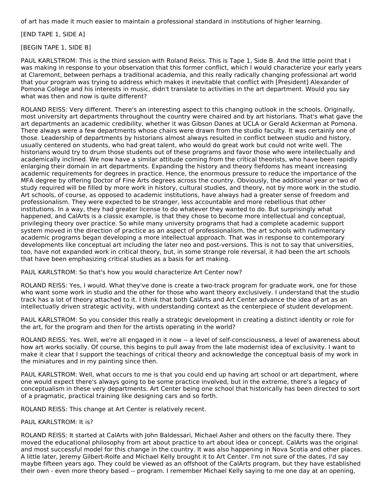of art has made it much easier to maintain a professional standard in institutions of higher learning.

[END TAPE 1, SIDE A]

[BEGIN TAPE 1, SIDE B]

PAUL KARLSTROM: This is the third session with Roland Reiss. This is Tape 1, Side B. And the little point that I was making in response to your observation that this former conflict, which I would characterize your early years at Claremont, between perhaps a traditional academia, and this really radically changing professional art world that your program was trying to address which makes it inevitable that conflict with [President] Alexander of Pomona College and his interests in music, didn't translate to activities in the art department. Would you say what was then and now is quite different?

ROLAND REISS: Very different. There's an interesting aspect to this changing outlook in the schools. Originally, most university art departments throughout the country were chaired and by art historians. That's what gave the art departments an academic credibility, whether it was Gibson Danes at UCLA or Gerald Ackerman at Pomona. There always were a few departments whose chairs were drawn from the studio faculty. It was certainly one of those. Leadership of departments by historians almost always resulted in conflict between studio and history, usually centered on students, who had great talent, who would do great work but could not write well. The historians would try to drum those students out of these programs and favor those who were intellectually and academically inclined. We now have a similar attitude coming from the critical theorists, who have been rapidly enlarging their domain in art departments. Expanding the history and theory fiefdoms has meant increasing academic requirements for degrees in practice. Hence, the enormous pressure to reduce the importance of the MFA degree by offering Doctor of Fine Arts degrees across the country. Obviously, the additional year or two of study required will be filled by more work in history, cultural studies, and theory, not by more work in the studio. Art schools, of course, as opposed to academic institutions, have always had a greater sense of freedom and professionalism. They were expected to be stranger, less accountable and more rebellious that other institutions. In a way, they had greater license to do whatever they wanted to do. But surprisingly what happened, and CalArts is a classic example, is that they chose to become more intellectual and conceptual, privileging theory over practice. So while many university programs that had a complete academic support system moved in the direction of practice as an aspect of professionalism, the art schools with rudimentary academic programs began developing a more intellectual approach. That was in response to contemporary developments like conceptual art including the later neo and post-versions. This is not to say that universities, too, have not expanded work in critical theory, but, in some strange role reversal, it had been the art schools that have been emphasizing critical studies as a basis for art making.

PAUL KARLSTROM: So that's how you would characterize Art Center now?

ROLAND REISS: Yes, I would. What they've done is create a two-track program for graduate work, one for those who want some work in studio and the other for those who want theory exclusively. I understand that the studio track has a lot of theory attached to it. I think that both CalArts and Art Center advance the idea of art as an intellectually driven strategic activity, with understanding context as the centerpiece of student development.

PAUL KARLSTROM: So you consider this really a strategic development in creating a distinct identity or role for the art, for the program and then for the artists operating in the world?

ROLAND REISS: Yes. Well, we're all engaged in it now -- a level of self-consciousness, a level of awareness about how art works socially. Of course, this begins to pull away from the late modernist idea of exclusivity. I want to make it clear that I support the teachings of critical theory and acknowledge the conceptual basis of my work in the miniatures and in my painting since then.

PAUL KARLSTROM: Well, what occurs to me is that you could end up having art school or art department, where one would expect there's always going to be some practice involved, but in the extreme, there's a legacy of conceptualism in these very departments. Art Center being one school that historically has been directed to sort of a pragmatic, practical training like designing cars and so forth.

ROLAND REISS: This change at Art Center is relatively recent.

## PAUL KARLSTROM: It is?

ROLAND REISS: It started at CalArts with John Baldessari, Michael Asher and others on the faculty there. They moved the educational philosophy from art about practice to art about idea or concept. CalArts was the original and most successful model for this change in the country. It was also happening in Nova Scotia and other places. A little later, Jeremy Gilbert-Rolfe and Michael Kelly brought it to Art Center. I'm not sure of the dates, I'd say maybe fifteen years ago. They could be viewed as an offshoot of the CalArts program, but they have established their own - even more theory based -- program. I remember Michael Kelly saying to me one day at an opening,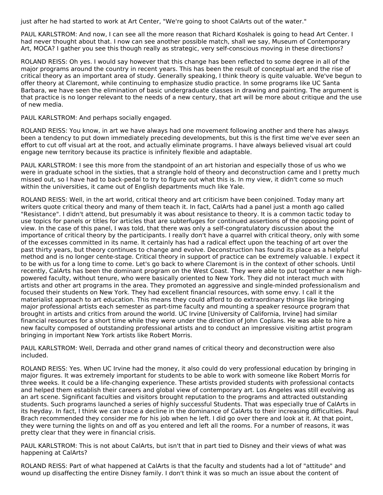just after he had started to work at Art Center, "We're going to shoot CalArts out of the water."

PAUL KARLSTROM: And now, I can see all the more reason that Richard Koshalek is going to head Art Center. I had never thought about that. I now can see another possible match, shall we say, Museum of Contemporary Art, MOCA? I gather you see this though really as strategic, very self-conscious moving in these directions?

ROLAND REISS: Oh yes. I would say however that this change has been reflected to some degree in all of the major programs around the country in recent years. This has been the result of conceptual art and the rise of critical theory as an important area of study. Generally speaking, I think theory is quite valuable. We've begun to offer theory at Claremont, while continuing to emphasize studio practice. In some programs like UC Santa Barbara, we have seen the elimination of basic undergraduate classes in drawing and painting. The argument is that practice is no longer relevant to the needs of a new century, that art will be more about critique and the use of new media.

PAUL KARLSTROM: And perhaps socially engaged.

ROLAND REISS: You know, in art we have always had one movement following another and there has always been a tendency to put down immediately preceding developments, but this is the first time we've ever seen an effort to cut off visual art at the root, and actually eliminate programs. I have always believed visual art could engage new territory because its practice is infinitely flexible and adaptable.

PAUL KARLSTROM: I see this more from the standpoint of an art historian and especially those of us who we were in graduate school in the sixties, that a strangle hold of theory and deconstruction came and I pretty much missed out, so I have had to back-pedal to try to figure out what this is. In my view, it didn't come so much within the universities, it came out of English departments much like Yale.

ROLAND REISS: Well, in the art world, critical theory and art criticism have been conjoined. Today many art writers quote critical theory and many of them teach it. In fact, CalArts had a panel just a month ago called "Resistance". I didn't attend, but presumably it was about resistance to theory. It is a common tactic today to use topics for panels or titles for articles that are subterfuges for continued assertions of the opposing point of view. In the case of this panel, I was told, that there was only a self-congratulatory discussion about the importance of critical theory by the participants. I really don't have a quarrel with critical theory, only with some of the excesses committed in its name. It certainly has had a radical effect upon the teaching of art over the past thirty years, but theory continues to change and evolve. Deconstruction has found its place as a helpful method and is no longer cente-stage. Critical theory in support of practice can be extremely valuable. I expect it to be with us for a long time to come. Let's go back to where Claremont is in the context of other schools. Until recently, CalArts has been the dominant program on the West Coast. They were able to put together a new highpowered faculty, without tenure, who were basically oriented to New York. They did not interact much with artists and other art programs in the area. They promoted an aggressive and single-minded professionalism and focused their students on New York. They had excellent financial resources, with some envy. I call it the materialist approach to art education. This means they could afford to do extraordinary things like bringing major professional artists each semester as part-time faculty and mounting a speaker resource program that brought in artists and critics from around the world. UC Irvine [University of California, Irvine] had similar financial resources for a short time while they were under the direction of John Coplans. He was able to hire a new faculty composed of outstanding professional artists and to conduct an impressive visiting artist program bringing in important New York artists like Robert Morris.

PAUL KARLSTROM: Well, Derrada and other grand names of critical theory and deconstruction were also included.

ROLAND REISS: Yes. When UC Irvine had the money, it also could do very professional education by bringing in major figures. It was extremely important for students to be able to work with someone like Robert Morris for three weeks. It could be a life-changing experience. These artists provided students with professional contacts and helped them establish their careers and global view of contemporary art. Los Angeles was still evolving as an art scene. Significant faculties and visitors brought reputation to the programs and attracted outstanding students. Such programs launched a series of highly successful Students. That was especially true of CalArts in its heyday. In fact, I think we can trace a decline in the dominance of CalArts to their increasing difficulties. Paul Brach recommended they consider me for his job when he left. I did go over there and look at it. At that point, they were turning the lights on and off as you entered and left all the rooms. For a number of reasons, it was pretty clear that they were in financial crisis.

PAUL KARLSTROM: This is not about CalArts, but isn't that in part tied to Disney and their views of what was happening at CalArts?

ROLAND REISS: Part of what happened at CalArts is that the faculty and students had a lot of "attitude" and wound up disaffecting the entire Disney family. I don't think it was so much an issue about the content of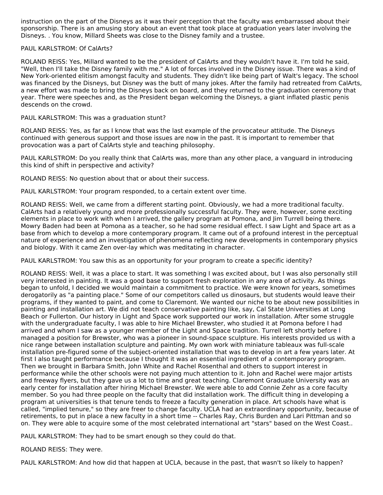instruction on the part of the Disneys as it was their perception that the faculty was embarrassed about their sponsorship. There is an amusing story about an event that took place at graduation years later involving the Disneys. . You know, Millard Sheets was close to the Disney family and a trustee.

## PAUL KARLSTROM: Of CalArts?

ROLAND REISS: Yes, Millard wanted to be the president of CalArts and they wouldn't have it. I'm told he said, "Well, then I'll take the Disney family with me." A lot of forces involved in the Disney issue. There was a kind of New York-oriented elitism amongst faculty and students. They didn't like being part of Walt's legacy. The school was financed by the Disneys, but Disney was the butt of many jokes. After the family had retreated from CalArts, a new effort was made to bring the Disneys back on board, and they returned to the graduation ceremony that year. There were speeches and, as the President began welcoming the Disneys, a giant inflated plastic penis descends on the crowd.

PAUL KARLSTROM: This was a graduation stunt?

ROLAND REISS: Yes, as far as I know that was the last example of the provocateur attitude. The Disneys continued with generous support and those issues are now in the past. It is important to remember that provocation was a part of CalArts style and teaching philosophy.

PAUL KARLSTROM: Do you really think that CalArts was, more than any other place, a vanguard in introducing this kind of shift in perspective and activity?

ROLAND REISS: No question about that or about their success.

PAUL KARLSTROM: Your program responded, to a certain extent over time.

ROLAND REISS: Well, we came from a different starting point. Obviously, we had a more traditional faculty. CalArts had a relatively young and more professionally successful faculty. They were, however, some exciting elements in place to work with when I arrived, the gallery program at Pomona, and Jim Turrell being there. Mowry Baden had been at Pomona as a teacher, so he had some residual effect. I saw Light and Space art as a base from which to develop a more contemporary program. It came out of a profound interest in the perceptual nature of experience and an investigation of phenomena reflecting new developments in contemporary physics and biology. With it came Zen over-lay which was meditating in character.

PAUL KARLSTROM: You saw this as an opportunity for your program to create a specific identity?

ROLAND REISS: Well, it was a place to start. It was something I was excited about, but I was also personally still very interested in painting. It was a good base to support fresh exploration in any area of activity. As things began to unfold, I decided we would maintain a commitment to practice. We were known for years, sometimes derogatorily as "a painting place." Some of our competitors called us dinosaurs, but students would leave their programs, if they wanted to paint, and come to Claremont. We wanted our niche to be about new possibilities in painting and installation art. We did not teach conservative painting like, say, Cal State Universities at Long Beach or Fullerton. Our history in Light and Space work supported our work in installation. After some struggle with the undergraduate faculty, I was able to hire Michael Brewster, who studied it at Pomona before I had arrived and whom I saw as a younger member of the Light and Space tradition. Turrell left shortly before I managed a position for Brewster, who was a pioneer in sound-space sculpture. His interests provided us with a nice range between installation sculpture and painting. My own work with miniature tableaux was full-scale installation pre-figured some of the subject-oriented installation that was to develop in art a few years later. At first I also taught performance because I thought it was an essential ingredient of a contemporary program. Then we brought in Barbara Smith, John White and Rachel Rosenthal and others to support interest in performance while the other schools were not paying much attention to it. John and Rachel were major artists and freeway flyers, but they gave us a lot to time and great teaching. Claremont Graduate University was an early center for installation after hiring Michael Brewster. We were able to add Connie Zehr as a core faculty member. So you had three people on the faculty that did installation work. The difficult thing in developing a program at universities is that tenure tends to freeze a faculty generation in place. Art schools have what is called, "implied tenure," so they are freer to change faculty. UCLA had an extraordinary opportunity, because of retirements, to put in place a new faculty in a short time -- Charles Ray, Chris Burden and Lari Pittman and so on. They were able to acquire some of the most celebrated international art "stars" based on the West Coast..

PAUL KARLSTROM: They had to be smart enough so they could do that.

## ROLAND REISS: They were.

PAUL KARLSTROM: And how did that happen at UCLA, because in the past, that wasn't so likely to happen?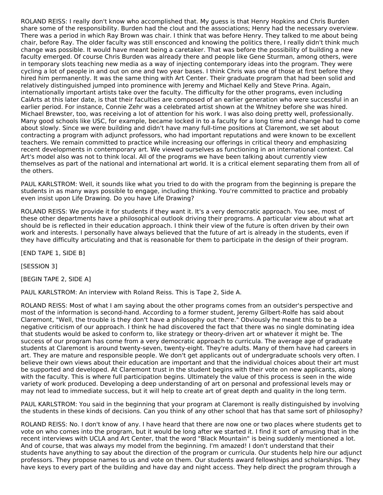ROLAND REISS: I really don't know who accomplished that. My guess is that Henry Hopkins and Chris Burden share some of the responsibility. Burden had the clout and the associations; Henry had the necessary overview. There was a period in which Ray Brown was chair. I think that was before Henry. They talked to me about being chair, before Ray. The older faculty was still ensconced and knowing the politics there, I really didn't think much change was possible. It would have meant being a caretaker. That was before the possibility of building a new faculty emerged. Of course Chris Burden was already there and people like Gene Sturman, among others, were in temporary slots teaching new media as a way of injecting contemporary ideas into the program. They were cycling a lot of people in and out on one and two year bases. I think Chris was one of those at first before they hired him permanently. It was the same thing with Art Center. Their graduate program that had been solid and relatively distinguished jumped into prominence with Jeremy and Michael Kelly and Steve Prina. Again, internationally important artists take over the faculty. The difficulty for the other programs, even including CalArts at this later date, is that their faculties are composed of an earlier generation who were successful in an earlier period. For instance, Connie Zehr was a celebrated artist shown at the Whitney before she was hired. Michael Brewster, too, was receiving a lot of attention for his work. I was also doing pretty well, professionally. Many good schools like USC, for example, became locked in to a faculty for a long time and change had to come about slowly. Since we were building and didn't have many full-time positions at Claremont, we set about contracting a program with adjunct professors, who had important reputations and were known to be excellent teachers. We remain committed to practice while increasing our offerings in critical theory and emphasizing recent developments in contemporary art. We viewed ourselves as functioning in an international context. Cal Art's model also was not to think local. All of the programs we have been talking about currently view themselves as part of the national and international art world. It is a critical element separating them from all of the others.

PAUL KARLSTROM: Well, it sounds like what you tried to do with the program from the beginning is prepare the students in as many ways possible to engage, including thinking. You're committed to practice and probably even insist upon Life Drawing. Do you have Life Drawing?

ROLAND REISS: We provide it for students if they want it. It's a very democratic approach. You see, most of these other departments have a philosophical outlook driving their programs. A particular view about what art should be is reflected in their education approach. I think their view of the future is often driven by their own work and interests. I personally have always believed that the future of art is already in the students, even if they have difficulty articulating and that is reasonable for them to participate in the design of their program.

[END TAPE 1, SIDE B]

[SESSION 3]

[BEGIN TAPE 2, SIDE A]

PAUL KARLSTROM: An interview with Roland Reiss. This is Tape 2, Side A.

ROLAND REISS: Most of what I am saying about the other programs comes from an outsider's perspective and most of the information is second-hand. According to a former student, Jeremy Gilbert-Rolfe has said about Claremont, "Well, the trouble is they don't have a philosophy out there." Obviously he meant this to be a negative criticism of our approach. I think he had discovered the fact that there was no single dominating idea that students would be asked to conform to, like strategy or theory-driven art or whatever it might be. The success of our program has come from a very democratic approach to curricula. The average age of graduate students at Claremont is around twenty-seven, twenty-eight. They're adults. Many of them have had careers in art. They are mature and responsible people. We don't get applicants out of undergraduate schools very often. I believe their own views about their education are important and that the individual choices about their art must be supported and developed. At Claremont trust in the student begins with their vote on new applicants, along with the faculty. This is where full participation begins. Ultimately the value of this process is seen in the wide variety of work produced. Developing a deep understanding of art on personal and professional levels may or may not lead to immediate success, but it will help to create art of great depth and quality in the long term.

PAUL KARLSTROM: You said in the beginning that your program at Claremont is really distinguished by involving the students in these kinds of decisions. Can you think of any other school that has that same sort of philosophy?

ROLAND REISS: No. I don't know of any. I have heard that there are now one or two places where students get to vote on who comes into the program, but it would be long after we started it. I find it sort of amusing that in the recent interviews with UCLA and Art Center, that the word "Black Mountain" is being suddenly mentioned a lot. And of course, that was always my model from the beginning. I'm amazed! I don't understand that their students have anything to say about the direction of the program or curricula. Our students help hire our adjunct professors. They propose names to us and vote on them. Our students award fellowships and scholarships. They have keys to every part of the building and have day and night access. They help direct the program through a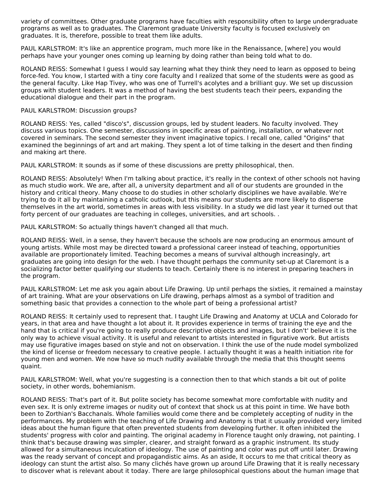variety of committees. Other graduate programs have faculties with responsibility often to large undergraduate programs as well as to graduates. The Claremont graduate University faculty is focused exclusively on graduates. It is, therefore, possible to treat them like adults.

PAUL KARLSTROM: It's like an apprentice program, much more like in the Renaissance, [where] you would perhaps have your younger ones coming up learning by doing rather than being told what to do.

ROLAND REISS: Somewhat I guess I would say learning what they think they need to learn as opposed to being force-fed. You know, I started with a tiny core faculty and I realized that some of the students were as good as the general faculty. Like Hap Tivey, who was one of Turrell's acolytes and a brilliant guy. We set up discussion groups with student leaders. It was a method of having the best students teach their peers, expanding the educational dialogue and their part in the program.

### PAUL KARLSTROM: Discussion groups?

ROLAND REISS: Yes, called "disco's", discussion groups, led by student leaders. No faculty involved. They discuss various topics. One semester, discussions in specific areas of painting, installation, or whatever not covered in seminars. The second semester they invent imaginative topics. I recall one, called "Origins" that examined the beginnings of art and art making. They spent a lot of time talking in the desert and then finding and making art there.

PAUL KARLSTROM: It sounds as if some of these discussions are pretty philosophical, then.

ROLAND REISS: Absolutely! When I'm talking about practice, it's really in the context of other schools not having as much studio work. We are, after all, a university department and all of our students are grounded in the history and critical theory. Many choose to do studies in other scholarly disciplines we have available. We're trying to do it all by maintaining a catholic outlook, but this means our students are more likely to disperse themselves in the art world, sometimes in areas with less visibility. In a study we did last year it turned out that forty percent of our graduates are teaching in colleges, universities, and art schools. .

PAUL KARLSTROM: So actually things haven't changed all that much.

ROLAND REISS: Well, in a sense, they haven't because the schools are now producing an enormous amount of young artists. While most may be directed toward a professional career instead of teaching, opportunities available are proportionately limited. Teaching becomes a means of survival although increasingly, art graduates are going into design for the web. I have thought perhaps the community set-up at Claremont is a socializing factor better qualifying our students to teach. Certainly there is no interest in preparing teachers in the program.

PAUL KARLSTROM: Let me ask you again about Life Drawing. Up until perhaps the sixties, it remained a mainstay of art training. What are your observations on Life drawing, perhaps almost as a symbol of tradition and something basic that provides a connection to the whole part of being a professional artist?

ROLAND REISS: It certainly used to represent that. I taught Life Drawing and Anatomy at UCLA and Colorado for years, in that area and have thought a lot about it. It provides experience in terms of training the eye and the hand that is critical if you're going to really produce descriptive objects and images, but I don't' believe it is the only way to achieve visual activity. It is useful and relevant to artists interested in figurative work. But artists may use figurative images based on style and not on observation. I think the use of the nude model symbolized the kind of license or freedom necessary to creative people. I actually thought it was a health initiation rite for young men and women. We now have so much nudity available through the media that this thought seems quaint.

PAUL KARLSTROM: Well, what you're suggesting is a connection then to that which stands a bit out of polite society, in other words, bohemianism.

ROLAND REISS: That's part of it. But polite society has become somewhat more comfortable with nudity and even sex. It is only extreme images or nudity out of context that shock us at this point in time. We have both been to Zorthian's Bacchanals. Whole families would come there and be completely accepting of nudity in the performances. My problem with the teaching of Life Drawing and Anatomy is that it usually provided very limited ideas about the human figure that often prevented students from developing further. It often inhibited the students' progress with color and painting. The original academy in Florence taught only drawing, not painting. I think that's because drawing was simpler, clearer, and straight forward as a graphic instrument. Its study allowed for a simultaneous inculcation of ideology. The use of painting and color was put off until later. Drawing was the ready servant of concept and propagandistic aims. As an aside, It occurs to me that critical theory as ideology can stunt the artist also. So many clichés have grown up around Life Drawing that it is really necessary to discover what is relevant about it today. There are large philosophical questions about the human image that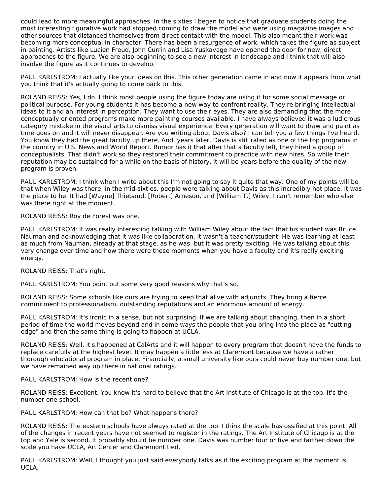could lead to more meaningful approaches. In the sixties I began to notice that graduate students doing the most interesting figurative work had stopped coming to draw the model and were using magazine images and other sources that distanced themselves from direct contact with the model. This also meant their work was becoming more conceptual in character. There has been a resurgence of work, which takes the figure as subject in painting. Artists like Lucien Freud, John Currin and Lisa Yuskavage have opened the door for new, direct approaches to the figure. We are also beginning to see a new interest in landscape and I think that will also involve the figure as it continues to develop.

PAUL KARLSTROM: I actually like your ideas on this. This other generation came in and now it appears from what you think that it's actually going to come back to this.

ROLAND REISS: Yes, I do. I think most people using the figure today are using it for some social message or political purpose. For young students it has become a new way to confront reality. They're bringing intellectual ideas to it and an interest in perception. They want to use their eyes. They are also demanding that the more conceptually oriented programs make more painting courses available. I have always believed it was a ludicrous category mistake in the visual arts to dismiss visual experience. Every generation will want to draw and paint as time goes on and it will never disappear. Are you writing about Davis also? I can tell you a few things I've heard. You know they had the great faculty up there. And, years later, Davis is still rated as one of the top programs in the country in U.S. News and World Report. Rumor has it that after that a faculty left, they hired a group of conceptualists. That didn't work so they restored their commitment to practice with new hires. So while their reputation may be sustained for a while on the basis of history, it will be years before the quality of the new program is proven.

PAUL KARLSTROM: I think when I write about this I'm not going to say it quite that way. One of my points will be that when Wiley was there, in the mid-sixties, people were talking about Davis as this incredibly hot place. It was the place to be. It had [Wayne] Thiebaud, [Robert] Arneson, and [William T.] Wiley. I can't remember who else was there right at the moment.

ROLAND REISS: Roy de Forest was one.

PAUL KARLSTROM: It was really interesting talking with William Wiley about the fact that his student was Bruce Nauman and acknowledging that it was like collaboration. It wasn't a teacher/student. He was learning at least as much from Nauman, already at that stage, as he was, but it was pretty exciting. He was talking about this very change over time and how there were these moments when you have a faculty and it's really exciting energy.

ROLAND REISS: That's right.

PAUL KARLSTROM: You point out some very good reasons why that's so.

ROLAND REISS: Some schools like ours are trying to keep that alive with adjuncts. They bring a fierce commitment to professionalism, outstanding reputations and an enormous amount of energy.

PAUL KARLSTROM: It's ironic in a sense, but not surprising. If we are talking about changing, then in a short period of time the world moves beyond and in some ways the people that you bring into the place as "cutting edge" and then the same thing is going to happen at UCLA.

ROLAND REISS: Well, it's happened at CalArts and it will happen to every program that doesn't have the funds to replace carefully at the highest level. It may happen a little less at Claremont because we have a rather thorough educational program in place. Financially, a small university like ours could never buy number one, but we have remained way up there in national ratings.

PAUL KARLSTROM: How is the recent one?

ROLAND REISS: Excellent. You know it's hard to believe that the Art Institute of Chicago is at the top. It's the number one school.

PAUL KARLSTROM: How can that be? What happens there?

ROLAND REISS: The eastern schools have always rated at the top. I think the scale has ossified at this point. All of the changes in recent years have not seemed to register in the ratings. The Art Institute of Chicago is at the top and Yale is second. It probably should be number one. Davis was number four or five and farther down the scale you have UCLA, Art Center and Claremont tied.

PAUL KARLSTROM: Well, I thought you just said everybody talks as if the exciting program at the moment is UCLA.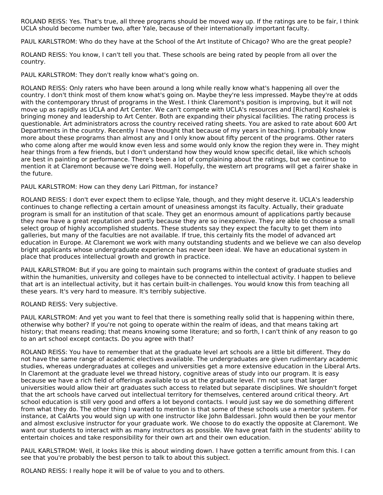ROLAND REISS: Yes. That's true, all three programs should be moved way up. If the ratings are to be fair, I think UCLA should become number two, after Yale, because of their internationally important faculty.

PAUL KARLSTROM: Who do they have at the School of the Art Institute of Chicago? Who are the great people?

ROLAND REISS: You know, I can't tell you that. These schools are being rated by people from all over the country.

PAUL KARLSTROM: They don't really know what's going on.

ROLAND REISS: Only raters who have been around a long while really know what's happening all over the country. I don't think most of them know what's going on. Maybe they're less impressed. Maybe they're at odds with the contemporary thrust of programs in the West. I think Claremont's position is improving, but it will not move up as rapidly as UCLA and Art Center. We can't compete with UCLA's resources and [Richard] Koshalek is bringing money and leadership to Art Center. Both are expanding their physical facilities. The rating process is questionable. Art administrators across the country received rating sheets. You are asked to rate about 600 Art Departments in the country. Recently I have thought that because of my years in teaching. I probably know more about these programs than almost any and I only know about fifty percent of the programs. Other raters who come along after me would know even less and some would only know the region they were in. They might hear things from a few friends, but I don't understand how they would know specific detail, like which schools are best in painting or performance. There's been a lot of complaining about the ratings, but we continue to mention it at Claremont because we're doing well. Hopefully, the western art programs will get a fairer shake in the future.

### PAUL KARLSTROM: How can they deny Lari Pittman, for instance?

ROLAND REISS: I don't ever expect them to eclipse Yale, though, and they might deserve it. UCLA's leadership continues to change reflecting a certain amount of uneasiness amongst its faculty. Actually, their graduate program is small for an institution of that scale. They get an enormous amount of applications partly because they now have a great reputation and partly because they are so inexpensive. They are able to choose a small select group of highly accomplished students. These students say they expect the faculty to get them into galleries, but many of the faculties are not available. If true, this certainly fits the model of advanced art education in Europe. At Claremont we work with many outstanding students and we believe we can also develop bright applicants whose undergraduate experience has never been ideal. We have an educational system in place that produces intellectual growth and growth in practice.

PAUL KARLSTROM: But if you are going to maintain such programs within the context of graduate studies and within the humanities, university and colleges have to be connected to intellectual activity. I happen to believe that art is an intellectual activity, but it has certain built-in challenges. You would know this from teaching all these years. It's very hard to measure. It's terribly subjective.

ROLAND REISS: Very subjective.

PAUL KARLSTROM: And yet you want to feel that there is something really solid that is happening within there, otherwise why bother? If you're not going to operate within the realm of ideas, and that means taking art history; that means reading; that means knowing some literature; and so forth, I can't think of any reason to go to an art school except contacts. Do you agree with that?

ROLAND REISS: You have to remember that at the graduate level art schools are a little bit different. They do not have the same range of academic electives available. The undergraduates are given rudimentary academic studies, whereas undergraduates at colleges and universities get a more extensive education in the Liberal Arts. In Claremont at the graduate level we thread history, cognitive areas of study into our program. It is easy because we have a rich field of offerings available to us at the graduate level. I'm not sure that larger universities would allow their art graduates such access to related but separate disciplines. We shouldn't forget that the art schools have carved out intellectual territory for themselves, centered around critical theory. Art school education is still very good and offers a lot beyond contacts. I would just say we do something different from what they do. The other thing I wanted to mention is that some of these schools use a mentor system. For instance, at CalArts you would sign up with one instructor like John Baldessari. John would then be your mentor and almost exclusive instructor for your graduate work. We choose to do exactly the opposite at Claremont. We want our students to interact with as many instructors as possible. We have great faith in the students' ability to entertain choices and take responsibility for their own art and their own education.

PAUL KARLSTROM: Well, it looks like this is about winding down. I have gotten a terrific amount from this. I can see that you're probably the best person to talk to about this subject.

ROLAND REISS: I really hope it will be of value to you and to others.